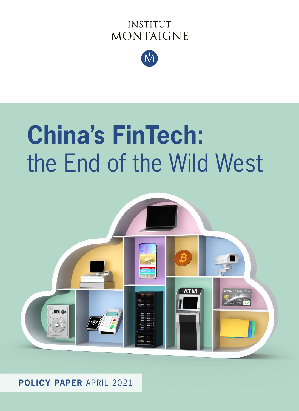# **INSTITUT MONTAIGNE**



# **China's FinTech:** the End of the Wild West



**POLICY PAPER** APRIL 2021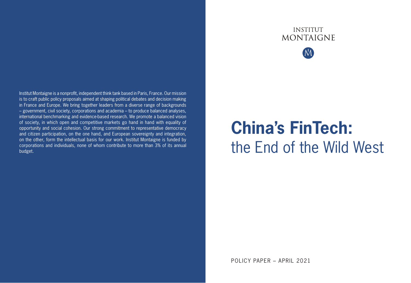# **INSTITUT MONTAIGNE**



Institut Montaigne is a nonprofit, independent think tank based in Paris, France. Our mission is to craft public policy proposals aimed at shaping political debates and decision making in France and Europe. We bring together leaders from a diverse range of backgrounds – government, civil society, corporations and academia – to produce balanced analyses, international benchmarking and evidence-based research. We promote a balanced vision of society, in which open and competitive markets go hand in hand with equality of opportunity and social cohesion. Our strong commitment to representative democracy and citizen participation, on the one hand, and European sovereignty and integration, on the other, form the intellectual basis for our work. Institut Montaigne is funded by corporations and individuals, none of whom contribute to more than 3% of its annual budget.

# **China's FinTech:** the End of the Wild West

POLICY PAPER – APRIL 2021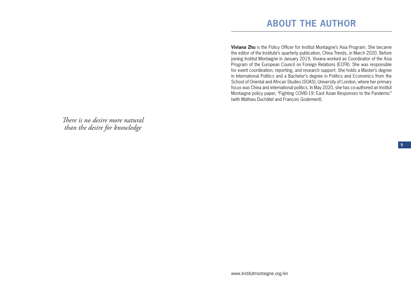# **ABOUT THE AUTHOR**

**Viviana Zhu** is the Policy Officer for Institut Montaigne's Asia Program. She became the editor of the Institute's quarterly publication, China Trends, in March 2020. Before joining Institut Montaigne in January 2019, Viviana worked as Coordinator of the Asia Program of the European Council on Foreign Relations (ECFR). She was responsible for event coordination, reporting, and research support. She holds a Master's degree in International Politics and a Bachelor's degree in Politics and Economics from the School of Oriental and African Studies (SOAS), University of London, where her primary focus was China and international politics. In May 2020, she has co-authored an Institut Montaigne policy paper, "Fighting COVID-19: East Asian Responses to the Pandemic" (with Mathieu Duchâtel and François Godement).

*There is no desire more natural than the desire for knowledge*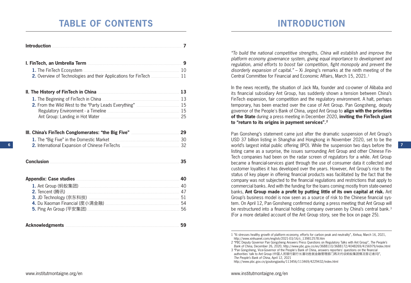# **TABLE OF CONTENTS**

| Introduction 2008 and 2008 and 2008 and 2008 and 2008 and 2008 and 2008 and 2008 and 2008 and 2008 and 2008 and 2008 and 2008 and 2008 and 2008 and 2008 and 2008 and 2008 and 2008 and 2008 and 2008 and 2008 and 2008 and 20 |    |
|--------------------------------------------------------------------------------------------------------------------------------------------------------------------------------------------------------------------------------|----|
| I. FinTech, an Umbrella Term <b>[19]</b> Same Manuscription of the United States of the Second States of the Second S                                                                                                          |    |
| 1. The FinTech Ecosystem <b>Manual Ecosystem</b> 10                                                                                                                                                                            |    |
| 2. Overview of Technologies and their Applications for FinTech  11                                                                                                                                                             |    |
| II. The History of FinTech in China <b>Manual According to the History of FinTech in China</b>                                                                                                                                 |    |
|                                                                                                                                                                                                                                |    |
|                                                                                                                                                                                                                                |    |
|                                                                                                                                                                                                                                |    |
|                                                                                                                                                                                                                                |    |
|                                                                                                                                                                                                                                |    |
|                                                                                                                                                                                                                                |    |
|                                                                                                                                                                                                                                |    |
| Conclusion <b>Conclusion</b>                                                                                                                                                                                                   | 35 |
|                                                                                                                                                                                                                                |    |
|                                                                                                                                                                                                                                |    |
|                                                                                                                                                                                                                                |    |
|                                                                                                                                                                                                                                |    |
|                                                                                                                                                                                                                                |    |
|                                                                                                                                                                                                                                |    |
|                                                                                                                                                                                                                                |    |

| <b>Acknowledgments</b> |  |  |  |
|------------------------|--|--|--|
|------------------------|--|--|--|

# **INTRODUCTION**

*"To build the national competitive strengths, China will establish and improve the platform economy governance system, giving equal importance to development and regulation, amid efforts to boost fair competition, fight monopoly and prevent the disorderly expansion of capital."* – Xi Jinping's remarks at the ninth meeting of the Central Committee for Financial and Economic Affairs, March 15, 2021.1

In the news recently, the situation of Jack Ma, founder and co-owner of Alibaba and its financial subsidiary Ant Group, has suddenly shown a tension between China's FinTech expansion, fair competition and the regulatory environment. A halt, perhaps temporary, has been enacted over the case of Ant Group. Pan Gongsheng, deputy governor of the People's Bank of China, urged Ant Group to **align with the priorities of the State** during a press meeting in December 2020, **inviting the FinTech giant to "return to its origins in payment services".2**

Pan Gonsheng's statement came just after the dramatic suspension of Ant Group's USD 37 billion listing in Shanghai and Hongkong in November 2020, set to be the world's largest initial public offering (IPO). While the suspension two days before the listing came as a surprise, the issues surrounding Ant Group and other Chinese Fin-Tech companies had been on the radar screen of regulators for a while. Ant Group became a financial-services giant through the use of consumer data it collected and customer loyalties it has developed over the years. However, Ant Group's rise to the status of key player in offering financial products was facilitated by the fact that the company was not subjected to the financial regulations and restrictions that apply to commercial banks. And with the funding for the loans coming mostly from state-owned banks, **Ant Group made a profit by putting little of its own capital at risk.** Ant Group's business model is now seen as a source of risk to the Chinese financial system. On April 12, Pan Gonsheng confirmed during a press meeting that Ant Group will be restructured into a financial holding company overseen by China's central bank.<sup>3</sup> (For a more detailed account of the Ant Group story, see the box on page 25).

http://www.pbc.gov.cn/goutongjiaoliu/113456/113469/4229432/index.html

**6**

<sup>1 &</sup>quot;Xi stresses healthy growth of platform economy, efforts for carbon peak and neutrality", *Xinhua*, March 16, 2021, http://www.xinhuanet.com/english/2021-03/16/c\_139812578.htm

<sup>2 &</sup>quot;PBC Deputy Governor Pan Gongsheng Answers Press Questions on Regulatory Talks with Ant Group", *The People's Bank of China*, December 26, 2020, http://www.pbc.gov.cn/en/3688110/3688172/4048269/4156979/index.html

<sup>3 &</sup>quot;Pan Gongsheng, Vice-Governor of the People's Bank of China, answers reporters' questions on the financial authorities' talk to Ant Group (中国人民银行副行长潘功胜就金融管理部门再次约谈蚂蚁集团情况答记者问)", *The People's Bank of China*, April 12, 2021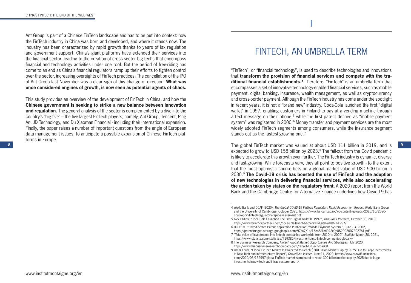Ant Group is part of a Chinese FinTech landscape and has to be put into context: how the FinTech industry in China was born and developed, and where it stands now. The industry has been characterized by rapid growth thanks to years of lax regulation and government support. China's giant platforms have extended their services into the financial sector, leading to the creation of cross-sector big techs that encompass financial and technology activities under one roof. But the period of free-riding has come to an end as China's financial regulators ramp up their efforts to tighten control over the sector, increasing oversights of FinTech practices. The cancellation of the IPO of Ant Group last November was a clear sign of this change of direction. **What was once considered engines of growth, is now seen as potential agents of chaos.**

This study provides an overview of the development of FinTech in China, and how the **Chinese government is seeking to strike a new balance between innovation and regulation.** The general analysis of the sector is complemented by a dive into the country's "big five" – the five largest FinTech players, namely, Ant Group, Tencent, Ping An, JD Technology, and Du Xiaoman Financial - including their international expansion. Finally, the paper raises a number of important questions from the angle of European data management issues, to anticipate a possible expansion of Chinese FinTech platforms in Europe.

# FINTECH, AN UMBRELLA TERM

**I**

"FinTech", or "financial technology", is used to describe technologies and innovations that **transform the provision of financial services and compete with the traditional financial establishments.4** Therefore, "FinTech" is an umbrella term that encompasses a set of innovative technology-enabled financial services, such as mobile payment, digital banking, insurance, wealth management, as well as cryptocurrency and cross-border payment. Although the FinTech industry has come under the spotlight in recent years, it is not a "brand new" industry. Coca-Cola launched the first "digital wallet" in 1997, enabling customers in Finland to pay at a vending machine through a text message on their phone,<sup>5</sup> while the first patent defined as "mobile payment system" was registered in 2000.<sup>6</sup> Money transfer and payment services are the most widely adopted FinTech segments among consumers, while the insurance segment stands out as the fastest-growing one.<sup>7</sup>

**8** The global FinTech market was valued at about USD 111 billion in 2019, and is expected to grow to USD 158 billion by 2023.<sup>8</sup> The fall-out from the Covid pandemic is likely to accelerate this growth even further. The FinTech industry is dynamic, diverse and fast-growing. While forecasts vary, they all point to positive growth - to the extent that the most optimistic source bets on a global market value of USD 500 billion in 2030.9 **The Covid-19 crisis has boosted the use of FinTech and the adoption of new technologies in delivering financial services, while also accelerating the action taken by states on the regulatory front.** A 2020 report from the World Bank and the Cambridge Centre for Alternative Finance underlines how Covid-19 has

<sup>4</sup> World Bank and CCAF (2020), *The Global COVID-19 FinTech Regulatory Rapid Assessment Report*, World Bank Group and the University of Cambridge, October 2020, https://www.jbs.cam.ac.uk/wp-content/uploads/2020/10/2020 ccaf-report-fintech-regulatory-rapid-assessment.pdf

<sup>5</sup> Alex Philips, "Coca Cola Launched The First Digital Wallet In 1997", *Twin Rock Partners*, October 30, 2019, https://www.twinrockpartners.com/coca-cola-launched-the-first-digital-wallet-in-1997/

<sup>6</sup> Hui et al., "United States Patent Application Publication: 'Mobile Payment System' ", June 13, 2002,

https://patentimages.storage.googleapis.com/97/a7/1a/16e48f1cd942e9/US20020073027A1.pdf 7 "Total value of investments into fintech companies worldwide from 2010 to 2020", *Statista*, March 30, 2021,

https://www.statista.com/statistics/719385/investments-into-fintech-companies-globally/

<sup>8</sup> The Business Research Company, *Fintech Global Market Opportunities And Strategies*, July 2020, https://www.thebusinessresearchcompany.com/report/FinTech-market

<sup>9</sup> Omar Faridi, "Global FinTech Market Is Projected to Reach \$300 Billion Market Cap by 2025 Due to Large Investments in New Tech and Infrastructure: Report", *Crowdfund Insider*, June 21, 2020, https://www.crowdfundinsider. com/2020/06/162997-global-FinTech-market-is-projected-to-reach-300-billion-market-cap-by-2025-due-to-largeinvestments-in-new-tech-and-infrastructure-report/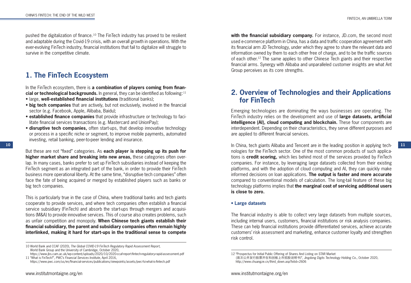pushed the digitalization of finance.10 The FinTech industry has proved to be resilient and adaptable during the Covid-19 crisis, with an overall growth in operations. With the ever-evolving FinTech industry, financial institutions that fail to digitalize will struggle to survive in the competitive climate.

# **1. The FinTech Ecosystem**

In the FinTech ecosystem, there is **a combination of players coming from financial or technological backgrounds.** In general, they can be identified as following:<sup>11</sup>

- large, **well-established financial institutions** (traditional banks);
- **big tech companies** that are actively, but not exclusively, involved in the financial sector (e.g. Facebook, Apple, Alibaba, Baidu);
- **established finance companies** that provide infrastructure or technology to facilitate financial services transactions (e.g. Mastercard and UnionPay);
- **disruptive tech companies,** often start-ups, that develop innovative technology or process in a specific niche or segment, to improve mobile payments, automated investing, retail banking, peer-to-peer lending and insurance.

But these are not "fixed" categories. As **each player is stepping up its push for higher market share and breaking into new areas,** these categories often overlap. In many cases, banks prefer to set up FinTech subsidiaries instead of keeping the FinTech segment as an integrated part of the bank, in order to provide their FinTech business more operational liberty. At the same time, "disruptive tech companies" often face the fate of being acquired or merged by established players such as banks or big tech companies.

This is particularly true in the case of China, where traditional banks and tech giants cooperate to provide services, and where tech companies often establish a financial service subsidiary (FinTech) and absorb the start-ups through mergers and acquisitions (M&A) to provide innovative services. This of course also creates problems, such as unfair competition and monopoly. **When Chinese tech giants establish their financial subsidiary, the parent and subsidiary companies often remain highly interlinked, making it hard for start-ups in the traditional sense to compete** 

with the financial subsidiary company. For instance, JD.com, the second most used e-commerce platform in China, has a data and traffic cooperation agreement with its financial arm JD Technology, under which they agree to share the relevant data and information owned by them to each other free of charge, and to be the traffic sources of each other.12 The same applies to other Chinese Tech giants and their respective financial arms. Synergy with Alibaba and unparalleled customer insights are what Ant Group perceives as its core strengths.

# **2. Overview of Technologies and their Applications for FinTech**

Emerging technologies are dominating the ways businesses are operating. The FinTech industry relies on the development and use of **large datasets, artificial intelligence (AI), cloud computing and blockchain.** These four components are interdependent. Depending on their characteristics, they serve different purposes and are applied to different financial services.

**10 11** In China, tech giants Alibaba and Tencent are in the leading position in applying technologies for the FinTech sector. One of the most common products of such applications is **credit scoring,** which lies behind most of the services provided by FinTech companies. For instance, by leveraging large datasets collected from their existing platforms, and with the adoption of cloud computing and AI, they can quickly make informed decisions on loan applications. **The output is faster and more accurate** compared to conventional models of calculation. The long-tail feature of these big technology platforms implies that **the marginal cost of servicing additional users is close to zero.**

#### **• Large datasets**

The financial industry is able to collect very large datasets from multiple sources, including internal users, customers, financial institutions or risk analysis companies. These can help financial institutions provide differentiated services, achieve accurate customers' risk assessment and marketing, enhance customer loyalty and strengthen risk control.

<sup>10</sup> World Bank and CCAF (2020), *The Global COVID-19 FinTech Regulatory Rapid Assessment Report*, World Bank Group and the University of Cambridge, October 2020,

https://www.jbs.cam.ac.uk/wp-content/uploads/2020/10/2020-ccaf-report-fintech-regulatory-rapid-assessment.pdf 11 "What is FinTech?", *PWC's Financial Services Institute*, April 2016,

https://www.pwc.com/us/en/financial-services/publications/viewpoints/assets/pwc-fsi-what-is-fintech.pdf

<sup>12 &</sup>quot;Prospectus for Initial Public Offering of Shares And Listing on STAR Market

<sup>(</sup>首次公并发行股票开在科创板上市招股说明书)", *Jingdong Digits Technology Holding Co.*, October 2020, http://www.chuangze.cn/third\_down.asp?txtid=2606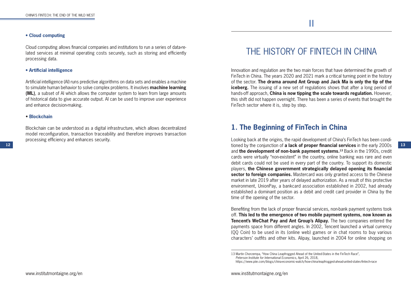#### **• Cloud computing**

Cloud computing allows financial companies and institutions to run a series of data-related services at minimal operating costs securely, such as storing and efficiently processing data.

#### **• Artificial intelligence**

Artificial intelligence (AI) runs predictive algorithms on data sets and enables a machine to simulate human behavior to solve complex problems. It involves **machine learning (ML)**, a subset of AI which allows the computer system to learn from large amounts of historical data to give accurate output. AI can be used to improve user experience and enhance decision-making.

#### • **Blockchain**

Blockchain can be understood as a digital infrastructure, which allows decentralized model reconfiguration, transaction traceability and therefore improves transaction processing efficiency and enhances security.

# THE HISTORY OF FINTECH IN CHINA

**II**

Innovation and regulation are the two main forces that have determined the growth of FinTech in China. The years 2020 and 2021 mark a critical turning point in the history of the sector. **The drama around Ant Group and Jack Ma is only the tip of the iceberg.** The issuing of a new set of regulations shows that after a long period of hands-off approach, **China is now tipping the scale towards regulation.** However, this shift did not happen overnight. There has been a series of events that brought the FinTech sector where it is, step by step.

# **1. The Beginning of FinTech in China**

**12 13** tioned by the conjunction of **a lack of proper financial services** in the early 2000s Looking back at the origins, the rapid development of China's FinTech has been condiand **the development of non-bank payment systems.13** Back in the 1990s, credit cards were virtually "non-existent" in the country, online banking was rare and even debit cards could not be used in every part of the country. To support its domestic players, **the Chinese government strategically delayed opening its financial sector to foreign companies.** Mastercard was only granted access to the Chinese market in late 2019 after years of delayed authorization. As a result of this protective environment, UnionPay, a bankcard association established in 2002, had already established a dominant position as a debit and credit card provider in China by the time of the opening of the sector.

> Benefiting from the lack of proper financial services, non-bank payment systems took off. **This led to the emergence of two mobile payment systems, now known as Tencent's WeChat Pay and Ant Group's Alipay.** The two companies entered the payments space from different angles. In 2002, Tencent launched a virtual currency (QQ Coin) to be used in its (online web) games or in chat rooms to buy various characters' outfits and other kits. Alipay, launched in 2004 for online shopping on

<sup>13</sup> Martin Chorzempa, "How China Leapfrogged Ahead of the United-States in the FinTech Race", *Peterson Institute for International Economics*, April 26, 2018,

https://www.piie.com/blogs/china-economic-watch/how-china-leapfrogged-ahead-united-states-fintech-race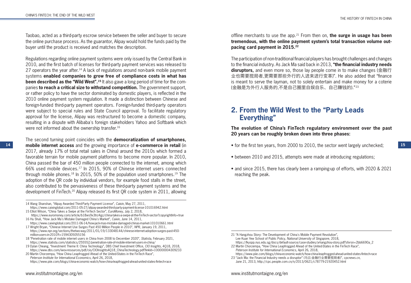Taobao, acted as a third-party escrow service between the seller and buyer to secure the online purchase process. As the guarantor, Alipay would hold the funds paid by the buyer until the product is received and matches the description.

Regulations regarding online payment systems were only issued by the Central Bank in 2010, and the first batch of licenses for third-party payment services was released to 27 operators the year after.<sup>14</sup> A lack of regulations around non-bank mobile payment systems **enabled companies to grow free of compliance costs in what has been described as the "Wild West".**<sup>15</sup> It also gave a long period of time for the companies **to reach a critical size to withstand competition.** The government support, or rather policy to have the sector dominated by domestic players, is reflected in the 2010 online payment system regulation. It made a distinction between Chinese and foreign-funded third-party payment operators. Foreign-funded third-party operators were subject to special rules and State Council approval. To facilitate regulatory approval for the license, Alipay was restructured to become a domestic company, resulting in a dispute with Alibaba's foreign stakeholders Yahoo and Softbank which were not informed about the ownership transfer.<sup>16</sup>

**14 15 mobile internet access** and the growing importance of **e-commerce in retail** (in The second turning point coincides with the **democratization of smartphones,**  2017, already 17% of total retail sales in China) around the 2010s which formed a favorable terrain for mobile payment platforms to become more popular. In 2010, China passed the bar of 450 million people connected to the internet, among which 66% used mobile devices.17 In 2015, 90% of Chinese internet users connected through mobile phones.<sup>18</sup> In 2015, 50% of the population used smartphones.<sup>19</sup> The adoption of the QR code by individual vendors, for example food stalls in the street, also contributed to the pervasiveness of these third-party payment systems and the development of FinTech.20 Alipay released its first QR code system in 2011, allowing

offline merchants to use the app.21 From then on, **the surge in usage has been tremendous, with the online payment system's total transaction volume outpacing card payment in 2015.22**

The participation of non-traditional financial players has brought challenges and changes to the financial industry. As Jack Ma said back in 2013, **"the financial industry needs disruptors,** and even more so, those lay people come in to make changes (金融行 业也需要搅局者,更需要那些外行的人进来进行变革)". He also added that "finance is meant to serve the layman, not to solely entertain and make money for a coterie (金融是为外行人服务的,不是自己圈里自娱自乐、自己赚钱的)."23

# **2. From the Wild West to the "Party Leads Everything"**

**The evolution of China's FinTech regulatory environment over the past 20 years can be roughly broken down into three phases:**

• for the first ten years, from 2000 to 2010, the sector went largely unchecked;

- between 2010 and 2015, attempts were made at introducing regulations;
- and since 2015, there has clearly been a ramping-up of efforts, with 2020 & 2021 reaching the peak.

<sup>14</sup> Wang Shanshan, "Alipay Awarded Third-Party Payment License", *Caixin*, May 27, 2011,

https://www.caixinglobal.com/2011-05-27/alipay-awarded-third-party-payment-license-101016942.html 15 Elliot Wilson, "China Takes a Swipe at the FinTech Sector", *EuroMoney*, July 2, 2018,

https://www.euromoney.com/article/b18ws9x3trz4gz/china-takes-a-swipe-at-the-FinTech-sector?copyrightInfo=true 16 Hu Shuli, "How Jack Ma's Mistake Damaged China's Market", *Caixin*, June 14, 2011,

https://www.caixinglobal.com/2011-06-14/how-jack-mas-mistake-damaged-chinas-market-101010661.html 17 Wright Bryan, "Chinese Internet Use Surges Past 450 Million People in 2010", *NPR*, January 19, 2011,

https://www.npr.org/sections/thetwo-way/2011/01/19/133048144/chinese-internet-adoption-surges-past-450 million-users-in-2010?t=1594305055156 18 "Penetration rate of mobile internet users in China from 2008 to December 2020", *Statista*, February 2021,

https://www.statista.com/statistics/255552/penetration-rate-of-mobile-internet-users-in-china/

<sup>19</sup> Dylan Cheang, "Investment Theme II: China Technology", DBS Chief Investment Office, *CIO Insights*, 4Q18, 2018, https://www.dbs.com/iwov-resources/pdf/cio/CIOInsights4Q18\_ChinaTechnology.pdf?linkId=100000004309233

<sup>20</sup> Martin Chorzempa, "How China Leapfrogged Ahead of the United-States in the FinTech Race", *Peterson Institute for International Economics*, April 26, 2018, https://www.piie.com/blogs/china-economic-watch/how-china-leapfrogged-ahead-united-states-fintech-race

<sup>21 &</sup>quot;A Hangzhou Story: The Development of China's Mobile Payment Revolution", Lee Kuan Yew School of Public Policy, *National University of Singapore*, 2018, https://lkyspp.nus.edu.sg/docs/default-source/case-studies/a-hangzhou-story.pdf?sfvrsn=2bb6690a\_2

<sup>22</sup> Martin Chorzempa, "How China Leapfrogged Ahead of the United-States in the FinTech Race", *Peterson Institute for International Economics*, April 26, 2018,

https://www.piie.com/blogs/china-economic-watch/how-china-leapfrogged-ahead-united-states-fintech-race

<sup>23 &</sup>quot;Jack Ma: the Financial Industry needs a disruptor" (马云:金融行业需要搅局者)", *cpcnews.cn*, June 21, 2013, http://cpc.people.com.cn/n/2013/0621/c78779-21920452.html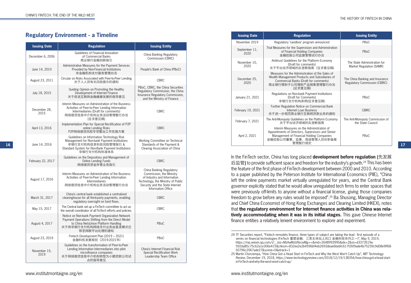# **Regulatory Environment - a Timeline**

|                      |                                                                                                                                                                                       |                                                                                                                                                                                    | November 2019                                                                                                                                                                                                                                                                                | Regulatory 'sandbox' program announced                                                                                                                                                                                                                                                                                                                                                                            | PBoC                                                     |
|----------------------|---------------------------------------------------------------------------------------------------------------------------------------------------------------------------------------|------------------------------------------------------------------------------------------------------------------------------------------------------------------------------------|----------------------------------------------------------------------------------------------------------------------------------------------------------------------------------------------------------------------------------------------------------------------------------------------|-------------------------------------------------------------------------------------------------------------------------------------------------------------------------------------------------------------------------------------------------------------------------------------------------------------------------------------------------------------------------------------------------------------------|----------------------------------------------------------|
| <b>Issuing Date</b>  | <b>Regulation</b>                                                                                                                                                                     | <b>Issuing Entity</b>                                                                                                                                                              | September 11,                                                                                                                                                                                                                                                                                | Trial Measures for the Supervision and Administration<br>of Financial Holding Companies                                                                                                                                                                                                                                                                                                                           | PBoC                                                     |
| December 6, 2006     | Guidelines of Financial Innovation<br>of Commercial Banks<br>商业银行金融创新指引                                                                                                               | China Banking Regulatory<br>Commission (CBRC)                                                                                                                                      | 2020                                                                                                                                                                                                                                                                                         | 金融控股公司监督管理试行办法                                                                                                                                                                                                                                                                                                                                                                                                    |                                                          |
| June 14, 2010        | Administrative Measures for the Payment Services<br>Provided by Non-Financial Institutions                                                                                            | People's Bank of China (PBoC)                                                                                                                                                      | November 10,<br>2020                                                                                                                                                                                                                                                                         | Antitrust Guidelines for the Platform Economy<br>(Draft for comments)<br>关于平台经济领域的反垄断指南 (征求意见稿)                                                                                                                                                                                                                                                                                                                   | The State Administration for<br>Market Regulation (SAMR) |
| August 23, 2011      | 非金融机构支付服务管理办法<br>Circular on Risks Associated with Peer-to-Peer Lending                                                                                                               | <b>CBRC</b>                                                                                                                                                                        | December 25.                                                                                                                                                                                                                                                                                 | Measures for the Administration of the Sales of<br>Wealth Management Products and Subsidiaries of<br>Commercial Banks (Draft for comments)                                                                                                                                                                                                                                                                        | The China Banking and Insurance                          |
|                      | 关于人人贷有关风险提示的通知<br>Guiding Opinion on Promoting the Healthy                                                                                                                            | PBoC, CBRC, the China Securities                                                                                                                                                   | 2020                                                                                                                                                                                                                                                                                         | 商业银行理财子公司理财产品销售管理暂行办法<br>(征求意见稿)                                                                                                                                                                                                                                                                                                                                                                                  | <b>Regulatory Commission (CBIRC)</b>                     |
| July 18, 2015        | Development of Internet Finance<br>关于促进互联网金融健康发展的指导意见                                                                                                                                 | Regulatory Commission, the China<br>Insurance Regulatory Commission,<br>and the Ministry of Finance                                                                                | January 21, 2021                                                                                                                                                                                                                                                                             | Regulations on Non-bank Payment Institutions<br>(Draft for Comments)<br>非银行支付机构条例(征求意见稿)                                                                                                                                                                                                                                                                                                                          | PBoC                                                     |
| December 28.<br>2015 | Interim Measures on Administration of the Business<br>Activities of Peer-to-Peer Lending Information<br>Intermediaries (Draft for comments)<br>网络借贷信息中介机构业务活动管理暂行办法                   | <b>CBRC</b>                                                                                                                                                                        | February 19, 2021                                                                                                                                                                                                                                                                            | Further Regulation Notice on Commercial Bank<br><b>Internet Loan Business</b><br>关于进一步规范商业银行互联网贷款业务的通知                                                                                                                                                                                                                                                                                                            | <b>CBIRC</b>                                             |
|                      | (征求意见稿)<br>Implementation Plan for Special Rectification of P2P                                                                                                                       |                                                                                                                                                                                    | February 7, 2021                                                                                                                                                                                                                                                                             | The Anti-Monopoly Guidelines on the Platform Economy<br>关于平台经济领域的反垄断指南                                                                                                                                                                                                                                                                                                                                            | The Anti-Monopoly Commission of<br>the State Council     |
| April 13, 2016       | online Lending Risks<br>P2P网络借贷风险专项整治工作实施方案                                                                                                                                           | <b>CBRC</b>                                                                                                                                                                        |                                                                                                                                                                                                                                                                                              | Interim Measures on the Administration of<br>Appointments of Directors, Supervisors and Senior                                                                                                                                                                                                                                                                                                                    |                                                          |
| June 14, 2016        | Guidelines on Information Technology Risk<br>Management for Non-bank Payment Institutions<br>非银行支付机构信息科技风险管理指引 &<br>Standard System for Non-Bank Payment Institutions<br>非银行支付机构标准体系  | Working Committee on Technical<br>Standards of the Payment &<br>Clearing Association of China                                                                                      | April 2, 2021                                                                                                                                                                                                                                                                                | Management of Financial Holding Companies<br>金融控股公司董事、监事、高级管理人员任职备案<br>管理暂行规定                                                                                                                                                                                                                                                                                                                                     | PBoC                                                     |
| February 22, 2017    | Guidelines on the Depository and Management of<br><b>Online Lending Funds</b><br>网络借贷资金存管业务指引                                                                                         | <b>CBRC</b>                                                                                                                                                                        |                                                                                                                                                                                                                                                                                              | In the FinTech sector, China has long placed development before regulation (先发展<br>后监管) to provide sufficient space and freedom for the industry's growth. <sup>24</sup> This has been                                                                                                                                                                                                                            |                                                          |
| August 17, 2016      | Interim Measures on Administration of the Business<br>Activities of Peer-to-Peer Lending Information<br><b>Intermediaries</b><br>网络借贷信息中介机构业务活动管理暂行办法                                 | China Banking Regulatory<br>Commission, the Ministry<br>of Industry and Information<br>Technology, the Ministry of Public<br>Security and the State Internet<br>Information Office |                                                                                                                                                                                                                                                                                              | the feature of the first phase of FinTech development between 2000 and 2010. According<br>to a paper published by the Peterson Institute for International Economics (PIIE), "China<br>left the online payments market virtually unregulated for years, and the Central Bank<br>governor explicitly stated that he would allow unregulated tech firms to enter spaces that                                        |                                                          |
| March 31, 2017       | China's central bank established a centralized<br>clearinghouse for all third-party payments, enabling<br>regulatory oversight on fund flows.                                         | <b>CBRC</b>                                                                                                                                                                        |                                                                                                                                                                                                                                                                                              | were previously off-limits to anyone without a financial license, giving those companies<br>freedom to grow before any rules would be imposed". <sup>25</sup> Ba Shusong, Managing Director                                                                                                                                                                                                                       |                                                          |
| May 15, 2017         | The Central bank set up a FinTech committee to act as<br>the overall coordinator of all FinTech efforts and policies.                                                                 | <b>CBRC</b>                                                                                                                                                                        | and Chief China Economist of Hong Kong Exchanges and Clearing Limited (HKEX), notes<br>that the regulatory environment for Internet finance activities in China was rela-                                                                                                                    |                                                                                                                                                                                                                                                                                                                                                                                                                   |                                                          |
| August 4, 2017       | Notice on Non-bank Payment Organization Network<br>Payment Operations Shifting from the Direct Model<br>to China NetsUnion Platform Handling<br>关于将非银行支付机构网络支付业务由直连模式迁<br>移至网联平台处理的通知 | PBoC                                                                                                                                                                               |                                                                                                                                                                                                                                                                                              | tively accommodating when it was in its initial stages. This gave Chinese Internet<br>finance entities a relatively lenient environment to explore and experiment.                                                                                                                                                                                                                                                |                                                          |
| August 23, 2019      | Fintech Development Plan (2019 - 2021)<br>金融科机发展规划 (2019-2021年)                                                                                                                       | PBoC                                                                                                                                                                               | 24 TF Securities report, "Fintech remodels finance, three types of subject are taking the lead - first episode of a<br>series on financial technologies (FinTech 重塑金融, 三类主体站上风口 金融科技系列之一)", May 9, 2019.<br>https://mp.weixin.gg.com/s? biz=MzAwMzIzNzcwMg==∣=2648993995&idx=2&sn=d3373519a- |                                                                                                                                                                                                                                                                                                                                                                                                                   |                                                          |
| November 15,<br>2019 | Guidelines on the transformation of Peer-to-Peer<br>Lending Information Intermediaries into pilot<br>microfinance companies<br>关于网络借贷信息中介机构转型为小额贷款公司试<br>点的指导意见                       | China's Internet Financial Risk<br><b>Special Rectification Work</b><br>Leadership Team Office                                                                                     |                                                                                                                                                                                                                                                                                              | 592da85c75c62a1e306e415&chksm=832ee2e2b4596bf4eb2693deae6bebfc617f26f9ade4b75239c9d08e9ff68-<br>50796c2067ade27&scene=0&xtrack=1<br>25 Martin Chorzempa, "How China Got a Head Start in FinTech and Why the West Won't Catch Up", MIT Technology<br>Review, December 19, 2018, https://www.technologyreview.com/2018/12/19/138354/how-china-got-a-head-start-<br>in FinTable and why the weather work askels we / |                                                          |

| <b>Issuing Date</b>   | <b>Regulation</b>                                                                                                                                                               | <b>Issuing Entity</b>                                            |  |  |
|-----------------------|---------------------------------------------------------------------------------------------------------------------------------------------------------------------------------|------------------------------------------------------------------|--|--|
| November 2019         | Regulatory 'sandbox' program announced                                                                                                                                          | PBoC                                                             |  |  |
| September 11,<br>2020 | Trial Measures for the Supervision and Administration<br>of Financial Holding Companies<br>金融控股公司监督管理试行办法                                                                       | PBoC                                                             |  |  |
| November 10,<br>2020  | Antitrust Guidelines for the Platform Economy<br>(Draft for comments)<br>关于平台经济领域的反垄断指南 (征求意见稿)                                                                                 | The State Administration for<br>Market Regulation (SAMR)         |  |  |
| December 25,<br>2020  | Measures for the Administration of the Sales of<br>Wealth Management Products and Subsidiaries of<br>Commercial Banks (Draft for comments)<br>商业银行理财子公司理财产品销售管理暂行办法<br>(征求意见稿)  | The China Banking and Insurance<br>Regulatory Commission (CBIRC) |  |  |
| January 21, 2021      | Regulations on Non-bank Payment Institutions<br>(Draft for Comments)<br>非银行支付机构条例(征求意见稿)                                                                                        | PBoC                                                             |  |  |
| February 19, 2021     | Further Regulation Notice on Commercial Bank<br>Internet Loan Business<br>关于进一步规范商业银行互联网贷款业务的通知                                                                                 | <b>CBIRC</b>                                                     |  |  |
| February 7, 2021      | The Anti-Monopoly Guidelines on the Platform Economy<br>关于平台经济领域的反垄断指南                                                                                                          | The Anti-Monopoly Commission of<br>the State Council             |  |  |
| April 2, 2021         | Interim Measures on the Administration of<br>Appointments of Directors, Supervisors and Senior<br>Management of Financial Holding Companies<br>金融控股公司董事、监事、高级管理人员任职备案<br>管理暂行规定 | PBoC                                                             |  |  |

<sup>24</sup> TF Securities report, "Fintech remodels finance, three types of subject are taking the lead - first episode of a series on financial technologies (FinTech 重塑金融,三类主体站上风口 金融科技系列之一)", May 9, 2019, https://mp.weixin.qq.com/s?\_\_biz=MzAwMzIzNzcwMg==&mid=2648993995&idx=2&sn=d3373519a-592da85c75c62a1e306e415&chksm=832ee2e2b4596bf4eb2693deae6bebfc617f26f9ade4b75239c9d08e9ff68- 50796c2067ade27&scene=0&xtrack=1

<sup>25</sup> Martin Chorzempa, "How China Got a Head Start in FinTech and Why the West Won't Catch Up", *MIT Technology Review*, December 19, 2018, https://www.technologyreview.com/2018/12/19/138354/how-china-got-a-head-startin-FinTech-and-why-the-west-wont-catch-up/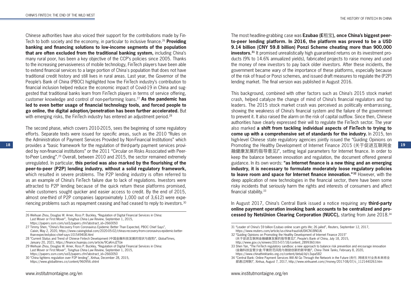Chinese authorities have also voiced their support for the contributions made by Fin-Tech to both society and the economy, in particular to inclusive finance.26 **Providing banking and financing solutions to low-income segments of the population that are often excluded from the traditional banking system,** including China's many rural poor, has been a key objective of the CCP's policies since 2005. Thanks to the increasing pervasiveness of mobile technology, FinTech players have been able to extend financial services to a large portion of China's population that does not have traditional credit history and still lives in rural areas. Last year, the Governor of the People's Bank of China (PBOC) highlighted how the FinTech industry's contribution to financial inclusion helped reduce the economic impact of Covid-19 in China and suggested that traditional banks learn from FinTech players in terms of service offering, customer knowledge and control of non-performing loans.27 **As the pandemic has led to even better usage of financial technology tools, and forced people to go online, the digital adoption/penetration has been further accelerated.** But with emerging risks, the FinTech industry has entered an adjustment period.<sup>28</sup>

18 **19 19 199 199 199 199 199 199 199 199 199 199 199 199 199 199 199 199 199 199 199 199 199 199 199 199 199 199 199 199 199 199 199 199 199 199 199** The second phase, which covers 2010-2015, sees the beginning of some regulatory efforts. Separate texts were issued for specific areas, such as the 2010 "Rules on the Administration of Payment Services Provided by Non-Financial Institutions" which ded by non-financial institutions" or the 2011 "Circular on Risks Associated with Peerto-Peer Lending".29 Overall, between 2010 and 2015, the sector remained extremely unregulated. In particular, **this period was also marked by the flourishing of the peer-to-peer (P2P) lending industry, without a solid regulatory framework,** which resulted in severe problems. The P2P lending industry is often referred to as an example of China's FinTech failure due to lack of regulations. Investors were attracted to P2P lending because of the quick return these platforms promised, while customers sought quicker and easier access to credit. By the end of 2015, almost one-third of P2P companies (approximately 1,000 out of 3,612) were experiencing problems such as repayment ceasing and had ceased to reply to investors.30

- 28 "Current Status and Trend of Chinese Fintech Development (中国金融科技发展的现状与趋势)", *GlobalTimes*, January 20, 2021, https://finance.huanqiu.com/article/9CaKrnJZTUe
- 29 Weihuan Zhou, Douglas W. Arner, Ross P. Buckley, "Regulation of Digital Financial Services in China: Last Mover or First Mover", *Tsinghua China Law Review*, September 1, 2015, https://papers.ssrn.com/sol3/papers.cfm?abstract\_id=2660050
- 30 "China tightens regulation over P2P lending", *Xinhua*, December 28, 2015, https://www.globaltimes.cn/content/960956.shtml

The most headline-grabbing case was **Ezubao (E**租宝**), once China's biggest peerto-peer lending platform. In 2016, the platform was proved to be a USD 9.14 billion (CNY 59.8 billion) Ponzi Scheme cheating more than 900,000 investors.**<sup>31</sup> It promised unrealistically high guaranteed returns on its investment products (9% to 14.6% annualized yields), fabricated projects to raise money and used the money of new investors to pay back older investors. After these incidents, the government became wary of the importance of these platforms, especially because of the risk of fraud or Ponzi schemes, and issued draft measures to regulate the (P2P) lending market. The final version was published in August 2016.

This background, combined with other factors such as China's 2015 stock market crash, helped catalyze the change of mind of China's financial regulators and top leaders. The 2015 stock market crash was perceived as politically embarrassing, showing the weakness of China's financial system and the failure of the government to prevent it. It also raised the alarm on the risk of capital outflow. Since then, Chinese authorities have clearly expressed their will to regulate the FinTech sector. The year also marked **a shift from tackling individual aspects of FinTech to trying to come up with a comprehensive set of standards for the industry.** In 2015, ten high-level Chinese state regulatory agencies jointly issued the "Guiding Opinions on Promoting the Healthy Development of Internet Finance 2015 (关于促进互联网金 融健康发展的指导意见)", setting legal parameters for Internet finance. In order to keep the balance between innovation and regulation, the document offered general guidance. In its own words: **"as Internet finance is a new thing and an emerging industry, it is necessary to formulate moderately loose regulatory policies to leave room and space for Internet finance innovation."32** However, with the deep application of new technologies in the financial sector, there have been some risky incidents that seriously harm the rights and interests of consumers and affect financial stability.33

In August 2017, China's Central Bank issued a notice requiring any **third-party online payment operation invoking bank accounts to be centralized and processed by NetsUnion Clearing Corporation (NUCC),** starting from June 2018.34

- 31 "Leader of China's \$9 billion Ezubao online scam gets life; 26 jailed", *Reuters*, September 12, 2017, https://www.reuters.com/article/us-china-fraud-idUSKCN1BN0J6
- 32 "Guiding Opinions on Promoting the Healthy Development of Internet Finance 2015"
- (关于促进互联网金融健康发展的指导意见)", People's Bank of China, July 18, 2015, http://www.gov.cn/xinwen/2015-07/18/content\_2899360.htm

33 Shen Yan, "The FinTech regulatory sandbox: a new approach to balance risk prevention and encourage innovation (金融科技监管沙盒:平衡防范风险与鼓励创新的新举措)", *China Think Tanks*, February 8, 2020, https://www.chinathinktanks.org.cn/content/detail/id/c3upa582

<sup>26</sup> Weihuan Zhou, Douglas W. Arner, Ross P. Buckley, "Regulation of Digital Financial Services in China: Last Mover or First Mover", *Tsinghua China Law Review*, September 1, 2015,

https://papers.ssrn.com/sol3/papers.cfm?abstract\_id=2660050

<sup>27</sup> Timmy Shen, "China's Recovery From Coronavirus Epidemic Better Than Expected, PBOC Chief Says", *Caixin*, May 2, 2020, https://www.caixinglobal.com/2020-05-02/chinas-recovery-from-coronavirus-epidemic-betterthan-expected-pboc-chief-says-101549408.html

<sup>34 &</sup>quot;Central Bank: Online Payment Services Will All Go Through the Network in the Future (央行, 网络支付业务未来将全 部通过网联)", *Xinhua*, August 7, 2017, http://www.xinhuanet.com//money/2017-08/07/c\_1121440263.htm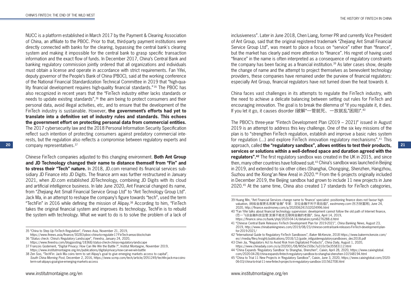**20 21** approach, called **the "regulatory sandbox", allows entities to test their products,**  NUCC is a platform established in March 2017 by the Payment & Clearing Association of China, an affiliate to the PBOC. Prior to that, third-party payment institutions were directly connected with banks for the clearing, bypassing the central bank's clearing system and making it impossible for the central bank to grasp specific transaction information and the exact flow of funds. In December 2017, China's Central Bank and banking regulatory commission jointly ordered that all organizations and individuals must obtain a license and operate in accordance with strict requirements. Fan Yifei, deputy governor of the People's Bank of China (PBOC), said at the working conference of the National Financial Standardization Technical Committee in 2019 that "high-quality financial development requires high-quality financial standards." 35 The PBOC has also recognized in recent years that the "FinTech industry either lacks standards or needs to update existing standards",36 the aim being to protect consumers and their personal data, avoid illegal activities, etc, and to ensure that the development of the FinTech industry is sustainable. However, **the government's efforts had yet to translate into a definitive set of industry rules and standards. This echoes the government effort on protecting personal data from commercial entities.** The 2017 cybersecurity law and the 2018 Personal Information Security Specification reflect such intention of protecting consumers against predatory commercial interests, but the regulation also reflects a compromise between regulatory experts and company representatives.37

Chinese FinTech companies adjusted to this changing environment. **Both Ant Group and JD Technology changed their name to distance themself from "Fin" and to stress their "Tech" nature.** In 2018, JD.com renamed its financial services subsidiary JD Finance into JD Digits. The finance arm was further restructured in January 2021, when JD.com established JDTechnology, combining JD Digits with its cloud and artificial intelligence business. In late June 2020, Ant Financial changed its name, from "Zhejiang Ant Small Financial Service Group Ltd" to "Ant Technology Group Ltd". Jack Ma, in an attempt to reshape the company's figure towards "tech", used the term "TechFin" in 2016 while defining the mission of Alipay.38 According to him, "FinTech takes the original financial system and improves its technology, TechFin is to rebuild the system with technology. What we want to do is to solve the problem of a lack of inclusiveness". Later in June 2018, Chen Liang, former PR and currently Vice President of Ant Group, said that the original registered trademark "Zhejiang Ant Small Financial Service Group Ltd", was meant to place a focus on "service" rather than "finance", but the market has clearly paid more attention to "finance". His regret of having used "finance" in the name is often interpreted as a consequence of regulatory constraints the company has been facing as a financial institution.<sup>39</sup> As later cases show, despite the change of name and the attempt to project themselves as benevolent technology providers, these companies have remained under the purview of financial regulators: especially Ant Group, financial regulators have not turned down the heat towards it.

China faces vast challenges in its attempts to regulate the FinTech industry, with the need to achieve a delicate balancing between setting out rules for FinTech and encouraging innovation. The goal is to break the dilemma of "if you regulate it, it dies. If you let it go, it causes disorder (破解"一管就死、一放就乱"困局)".40

The PBOC's three-year "Fintech Development Plan (2019 – 2021)" issued in August 2019 is an attempt to address this key challenge. One of the six key missions of the plan is to "strengthen FinTech regulation, establish and improve a basic rules system for regulation (...) and explore FinTech innovation regulatory mechanisms".41 This **services or solutions within a well-defined space and duration agreed with the regulators".42** The first regulatory sandbox was created in the UK in 2015, and since then, many other countries have followed suit.43 China's sandbox was launched in Beijing in 2019, and extended to six other cities (Shanghai, Chongqing, Shenzhen, Hangzhou, Suzhou and the Xiong'an New Area) in 2020.<sup>44</sup> From the 6 projects originally included in December 2019, the Beijing sandbox had grown to include 11 new projects in June 2020.45 At the same time, China also created 17 standards for FinTech categories,

<sup>35 &</sup>quot;China to Step Up FinTech Regulation", *Finews Asia*, November 21, 2019,

https://www.finews.asia/finance/30283-pboc-china-to-regulate-17-FinTech-areas-blockchain 36 "Status check: China's Regulatory Landscape", *Finextra*, January 24, 2020,

https://www.finextra.com/blogposting/18368/status-check-chinas-regulatory-landscape

<sup>37</sup> François Godement, "Digital Privacy: How Can We Win the Battle ?", Institut Montaigne, November 2019, https://www.institutmontaigne.org/en/publications/digital-privacy-how-can-we-win-battle

<sup>38</sup> Zen Soo, "TechFin: Jack Ma coins term to set Alipay's goal to give emerging markets access to capital", *South China Morning Post*, December 2, 2016, https://www.scmp.com/tech/article/2051249/techfin-jack-ma-coinsterm-set-alipays-goal-give-emerging-markets-access

<sup>39</sup> Huang Min, "Ant Financial Services change name to 'finance' specialist: positioning finance does not favour high valuation, (蚂蚁金服更名剥离"金融" 专家:定位金融不利于高估值)", *eastmoney.com* (东方财富网), June 24, 2020, http://finance.eastmoney.com/a/202006241532024996.html

<sup>40 &</sup>quot;Fan Yifei talks about financial technology supervision: development cannot follow the old path of Internet finance, (范一飞谈金融科技监管:发展不能走互联网金融的老路)", *Sina*, April 14, 2019, https://finance.sina.cn/bank/yhpl/2020-04-14/detail-iirczymi6276288.d.html

<sup>41 &</sup>quot;Chinese Central Bank Releases FinTech Development Plan for 2019-2021", *China Banking News*, August 23, 2019, http://www.chinabankingnews.com/2019/08/23/chinese-central-bank-releases-FinTech-development-planfor-2019-2021/

<sup>42 &</sup>quot;International Guide to Regulatory FinTech Sandboxes", *Baker McKenzie*, 2018 https://www.bakermckenzie.com/ en/-/media/files/insight/publications/2018/12/guide\_intlguideregulatorysandboxes\_dec2018.pdf

<sup>43</sup> Chen Jia, "Regulators Act to Avoid Risk from Digitalized Products", *China Daily*, August 1, 2020, https://www.chinadaily.com.cn/a/202001/08/WS5e150bc7a310cf3e35583112.html

<sup>44 &</sup>quot;China Expands 'Regulatory Sandbox' to Shanghai, Shenzhen", *Caixin*, April 28, 2020, https://www.caixinglobal. com/2020-04-28/china-expands-fintech-regulatory-sandbox-to-shanghai-shenzhen-101548194.html

<sup>45 &</sup>quot;China to Trial 11 New Projects in 'Regulatory Sandbox'", Caixin, June 3, 2020, https://www.caixinglobal.com/2020- 06-03/china-to-trial-11-new-fintech-projects-in-regulatory-sandbox-101562708.html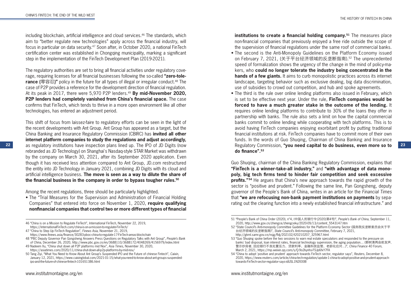including blockchain, artificial intelligence and cloud services.46 The standards, which aim to "better regulate new technologies" apply across the financial industry, will focus in particular on data security.47 Soon after, in October 2020, a national FinTech certification center was established in Chongqing municipality, marking a significant step in the implementation of the FinTech Development Plan (2019-2021).

The regulatory authorities are set to bring all financial activities under regulatory coverage, requiring licenses for all financial businesses following the so-called **"zero-tolerance (**零容忍**)"** policy in the future for all types of illegal or irregular conduct.48 The case of P2P provides a reference for the development direction of financial regulation. At its peak in 2017, there were 5,970 P2P lenders.<sup>49</sup> By mid-November 2020, **P2P lenders had completely vanished from China's financial space.** The case confirms that FinTech, which tends to thrive in a more open environment like all other technologies, has entered an adjustment period.

22 as regulatory institutions have inspection plans lined up. The IPO of JD Digits (now Regulatory Commission, "you need capital to do business, even more so to 23 This shift of focus from laissez-faire to regulatory efforts can be seen in the light of the recent developments with Ant Group. Ant Group has appeared as a target, but the China Banking and Insurance Regulatory Commission (CBIRC) has **invited all other internet platform companies to study the regulations and adjust accordingly,** rebranded as JD Technology) on Shanghai's Nasdaq-style STAR Market was withdrawn by the company on March 30, 2021, after its September 2020 application. Even though it has received less attention compared to Ant Group, JD.com restructured the entity into JD Technology in January 2021, combining JD Digits with its cloud and artificial intelligence business. **The move is seen as a way to dilute the share of the financial business in the company in order to bypass tougher rules.50**

Among the recent regulations, three should be particularly highlighted.

• The "Trial Measures for the Supervision and Administration of Financial Holding Companies" that entered into force on November 1, 2020, **require qualifying nonfinancial companies that control two or more different types of financial** 

46 "China is on a Mission to Regulate FinTech", *International FinTech*, November 22, 2019, https://internationalFinTech.com/china-is-on-a-mission-to-regulate-FinTech/

47 "China to Step Up FinTech Regulation", *Finews Asia*, November 21, 2019, https://www.finews.asia/finance/30283-pboc-china-to-regulate-17-FinTech-areas-blockchain

48 "PBC Deputy Governor Pan Gongsheng Answers Press Questions on Regulatory Talks with Ant Group", *People's Bank of China*, December 26, 2020, http://www.pbc.gov.cn/en/3688110/3688172/4048269/4156979/index.html

49 Nadeem Xu, "China shut down all P2P platforms mid Nov", *Asia Times*, November 30, 2020, https://asiatimes.com/2020/11/china-shut-down-all-p2p-platforms-by-mid-nov/

**institutions to create a financial holding company.<sup>51</sup> The measures place** non-financial companies that previously enjoyed a free ride outside the scope of the supervision of financial regulations under the same roof of commercial banks.

- The second is the Anti-Monopoly Guidelines on the Platform Economy issued on February 7, 2021, (关于平台经济领域的反垄断指南).52 The unprecedented speed of formalization shows the urgency of the change in the mind of policy-makers, who **could no longer tolerate the industry being concentrated in the hands of a few giants.** It aims to curb monopolistic practices across its internet landscape, targeting behavior such as exclusive dealing, big data discrimination, use of subsidies to crowd out competition, and hub and spoke agreements.
- The third is the rule over online lending platforms also issued in February, which is set to be effective next year. Under the rule, **FinTech companies would be forced to have a much greater stake in the outcome of the lending.** It requires online lending platforms to contribute to 30% of the loans they offer in partnership with banks. The rule also sets a limit on how the capital commercial banks commit to online lending while cooperating with tech platforms. This is to avoid having FinTech companies enjoying exorbitant profit by putting traditional financial institutions at risk. FinTech companies have to commit more of their own funds. In the words of Guo Shuqing, Chairman of China Banking and Insurance Regulatory Commission, **"you need capital to do business, even more so to do finance".53**

Guo Shuqing, chairman of the China Banking Regulatory Commission, explains that **"FinTech is a winner-take-all industry,"** and **"with advantage of data monopoly, big tech firms tend to hinder fair competition and seek excessive profits."** <sup>54</sup> He argues that China's new approach towards the rapid growth of the sector is "positive and prudent." Following the same line, Pan Gongsheng, deputy governor of the People's Bank of China, writes in an article for the *Financial Times* that **"we are refocusing non-bank payment institutions on payments** by separating out the clearing function into a newly established financial infrastructure." and

<sup>50</sup> Tang Ziyi, "What You Need to Know About Ant Group's Suspended IPO and the Future of chinese Fintech", *Caixin*, January 12, 2021, https://www.caixinglobal.com/2021-01-15/what-you-need-to-know-about-ant-groups-suspendedipo-and-the-future-of-chinese-fintech-101651386.html

<sup>51 &</sup>quot;People's Bank of China Order (2020), n°4, (中国人民银行令(2020)第4号)", *People's Bank of China*, September 11, 2020, http://www.gov.cn/zhengce/zhengceku/2020-09/13/content\_5543147.htm

<sup>52 &</sup>quot;State Council's Anti-monopoly Committee Guidelines for the Platform Economy Sector (国务院反垄断委员会关于平 台经济领域的反垄断指南)", *State Council's Anti-monopoly Committee*, February 7, 2021, http://gkml.samr.gov.cn/nsjg/fldj/202102/t20210207\_325967.html

<sup>53 &</sup>quot;Guo Shuqing spoke before the two sessions to warn real estate speculators and responded to the pressure on banks' bad disposal, loan interest rates, financial technology supervision, the aging population… (郭树清两会前发声, 警示炒房者, 回应银行不良处置压力、贷款利率、金融科技监管、老龄化应对…)", *China Finance 40 Forum*, March 2, 2021, https://mp.weixin.qq.com/s/Q-9o2kynhs-FSJp6fxY7FA

<sup>54 &</sup>quot;China to adopt 'positive and prudent' approach towards FinTech sector, regulator says", *Reuters*, December 8, 2020, https://www.reuters.com/article/china-tech-regulation/update-1-china-to-adopt-positive-and-prudent-approachtowards-FinTech-sector-regulator-says-idUSL1N2IO08I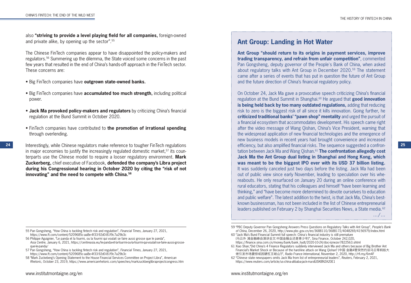also **"striving to provide a level playing field for all companies,** foreign-owned and private alike, by opening up the sector".55

The Chinese FinTech companies appear to have disappointed the policy-makers and regulators.56 Summering up the dilemma, the State voiced some concerns in the past few years that resulted in the end of China's hands-off approach in the FinTech sector. These concerns are:

- Big FinTech companies have **outgrown state-owned banks.**
- Big FinTech companies have **accumulated too much strength,** including political power.
- **Jack Ma provoked policy-makers and regulators** by criticizing China's financial regulation at the Bund Summit in October 2020.
- FinTech companies have contributed to **the promotion of irrational spending** through overlending.

24 Interestingly, while Chinese regulators make reference to tougher FinTech regulations **25** efficiency, but also amplified financial risks. The sequence suggested a confronin major economies to justify the increasingly regulated domestic market,<sup>57</sup> its counterparts use the Chinese model to require a looser regulatory environment. **Mark Zuckerberg,** chief executive of Facebook, **defended the company's Libra project during his Congressional hearing in October 2020 by citing the "risk of not innovating" and the need to compete with China.58**

- 57 Pan Gongsheng, "How China is tackling fintech risk and regulation", *Financial Times*, January 27, 2021, https://www.ft.com/content/5209685c-aa8e-4f33-92d0-81f9c7a29b3c
- 58 "Mark Zuckeberg's Opening Statement to the House Financial Services Committee on Project Libra", *American Rhetoric*, October 23, 2019, https://www.americanrhetoric.com/speeches/markzuckberglibraprojectcongress.htm

# **Ant Group: Landing in Hot Water**

**Ant Group "should return to its origins in payment services, improve trading transparency, and refrain from unfair competition"**, commented Pan Gongsheng, deputy governor of the People's Bank of China, when asked about regulatory talks with Ant Group in December 2020.59 The statement came after a series of events that has put in question the future of Ant Group and the future direction of China's financial regulatory policy.

On October 24, Jack Ma gave a provocative speech criticizing China's financial regulation at the Bund Summit in Shanghai.60 He argued that **good innovation is being held back by too many outdated regulations,** adding that reducing risk to zero is the biggest risk of all since it kills innovation. Going further, he **criticized traditional banks' "pawn shop" mentality** and urged the pursuit of a financial ecosystem that accommodates development. His speech came right after the video message of Wang Qishan, China's Vice President, warning that the widespread application of new financial technologies and the emergence of new business models in recent years had brought convenience and increased efficiency, but also amplified financial risks. The sequence suggested a confrontation between Jack Ma and Wang Qishan.61 **The confrontation allegedly cost Jack Ma the Ant Group dual listing in Shanghai and Hong Kong, which was meant to be the biggest IPO ever with its USD 37 billion listing.** It was suddenly canceled just two days before the listing. Jack Ma had been out of public view since early November, leading to speculation over his whereabouts. He only resurfaced on January 20 during an online conference with rural educators, stating that his colleagues and himself "have been learning and thinking," and "have become more determined to devote ourselves to education and public welfare". The latest addition to the twist, is that Jack Ma, China's bestknown businessman, has not been included in the list of Chinese entrepreneurial leaders published on February 2 by Shanghai Securities News, a State media.<sup>62</sup> …/…

59 "PBC Deputy Governor Pan Gongsheng Answers Press Questions on Regulatory Talks with Ant Group", *People's Bank of China*, December 26, 2020, http://www.pbc.gov.cn/en/3688110/3688172/4048269/4156979/index.html

60 "Jack Ma's Bund Financial Summit full speech: China's financial industry is still premature (马云外 滩金融峰会演讲全文:中国金融业还是青少年)", Sina Finance, October 242,020, https://finance.sina.com.cn/money/bank/bank\_hydt/2020-10-24/doc-iiznezxr7822563.shtml

<sup>55</sup> Pan Gongsheng, "How China is tackling fintech risk and regulation", *Financial Times*, January 27, 2021, https://www.ft.com/content/5209685c-aa8e-4f33-92d0-81f9c7a29b3c

<sup>56</sup> Philippe Aguignier, "Le panda et la fourmi, ou la fourmi qui voulait se faire aussi grosse que le panda", *Asia Centre*, January 6, 2021, https://centreasia.eu/le-panda-et-la-fourmi-ou-la-fourmi-qui-voulait-se-faire-aussi-grosseque-le-panda/

<sup>61</sup> Xiao Shan,"Did China's 4 Finance Regulators suddenly interviewed Jack Ma and others because of Big Brother Ant Financial's Market Shock or Because of the hard-line attack on Wang Qishan? (中国 金融4管突然约谈马云等蚂蚁大 佬引发市场震惊或因硬杠王岐山?)", *Radio France International*, November 2, 2020, http://rfi.my/6m4F

<sup>62 &</sup>quot;Chinese state newspapers omits Jack Ma from list of entrepreneurial leaders", *Reuters*, February 2, 2021, https://www.reuters.com/article/us-china-alibaba-jack-ma-idUSKBN2A20E1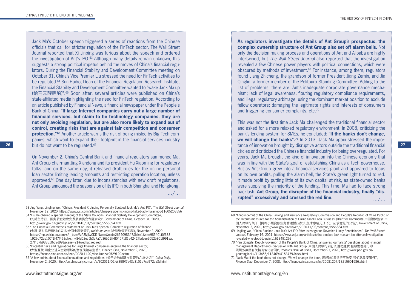**26 27** tance of innovation brought by disruptive actors outside the traditional financial Jack Ma's October speech triggered a series of reactions from the Chinese officials that call for stricter regulation of the FinTech sector. The Wall Street Journal reported that Xi Jinping was furious about the speech and ordered the investigation of Ant's IPO.63 Although many details remain unknown, this suggests a strong political impetus behind the moves of China's financial regulators. During the Financial Stability and Development Committee meeting on October 31, China's Vice Premier Liu stressed the need for FinTech activities to be regulated.64 Sun Haibo, Dean of the Financial Regulation Research Institute, the Financial Stability and Development Committee wanted to "wake Jack Ma up (给马云醒醒脑)".65 Soon after, several articles were published on China's state-affiliated media highlighting the need for FinTech regulation. According to an article published by Financial News, a financial newspaper under the People's Bank of China, **"If large Internet companies carry out a large number of financial services, but claim to be technology companies, they are not only avoiding regulation, but are also more likely to expand out of control, creating risks that are against fair competition and consumer protection."<sup>66</sup>** Another article warns the risk of being misled by Big Tech companies, which want to expand their footprint in the financial services industry but do not want to be regulated.<sup>67</sup>

…/… On November 2, China's Central Bank and financial regulators summoned Ma, Ant Group chairman Jing Xiandong and its president Hu Xiaoming for regulatory talks, and on the same day, it released draft rules for the online personal loan sector limiting lending amounts and restricting operation location, unless approved.<sup>68</sup> One day later, due to inconsistencies with new draft regulations, Ant Group announced the suspension of its IPO in both Shanghai and Hongkong.

63 Jing Yang, Lingling Wei, "China's President Xi Jinping Personally Scuttled Jack Ma's Ant IPO", *The Wall Street Journal*, November 12, 2020, https://www.wsj.com/articles/china-president-xi-jinping-halted-jack-ma-ant-ipo-11605203556

- 64 "Liu He chaired a special meeting of the State Council's Financial Stability Development Committee, (刘鹤主持召开国务院金融稳定发展委员会专题会议)", Government of China, October 31, 2020, http://www.gov.cn/guowuyuan/2020-10/31/content\_5556394.htm
- 65 "The Financial Committee's statement on Jack Ma's speech: Complete regulation of finance ! (金融 委对马云演讲的表态:全面金融监管!)", *weixin.qq.com* (金融監管研究院), November 2, 2020, https://mp.weixin.qq.com/s?\_\_biz=MzA3MjkyODI1Nw==&mid=2654098347&idx=1&sn=985401f0f683 1929d72ab107f1f47f46&chksm=84d02ec5b3a7a7d36b51ff4f0457181e42427bdaee2052b801f991aad 27f467b98351f6d9d99&scene=21#wechat\_redirect
- 66 "Potential risks and regulations for large Internet companies entering the financial sector, (大型互联 网企业进入金融领域的潜在风险与监管)", Finance Sina, November 2, 2020, https://finance.sina.com.cn/tech/2020-11-02/doc-iiznezxr9529120.shtml
- 67 "A few points about financial innovations and regulations, (关于金融创新与监管的几点认识)", *China Daily*, November 2, 2020, http://cn.chinadaily.com.cn/a/202011/02/WS5f9f7e43a3101e7ce972ca3d.html

**As regulators investigate the details of Ant Group's prospectus, the complex ownership structure of Ant Group also set off alarm bells.** Not only the decision making process and operations of Ant and Alibaba are highly intertwined, but *The Wall Street Journal* also reported that the investigation revealed a few Chinese power players with political connections, which were obscured by methods of investment.69 For instance, among them, regulators found Jiang Zhicheng, the grandson of former President Jiang Zemin, and Jia Qinglin, a former member of the Politburo Standing Committee. Adding to the list of problems, there are: Ant's inadequate corporate governance mechanism; lack of legal awareness, flouting regulatory compliance requirements, and illegal regulatory arbitrage; using the dominant market position to exclude fellow operators; damaging the legitimate rights and interests of consumers and triggering consumer complaints, etc.70

…/… This was not the first time Jack Ma challenged the traditional financial sector and asked for a more relaxed regulatory environment. In 2008, criticizing the bank's lending system for SMEs, he concluded: **"If the banks don't change, we will change the banks".**<sup>71</sup> In 2013, Jack Ma again stressed the imporcircles and criticized the Chinese financial industry for being over-regulated. For years, Jack Ma brought the kind of innovation into the Chinese economy that was in line with the State's goal of establishing China as a tech powerhouse. But as Ant Group grew into a financial-services giant and appeared to focus on its own profits, pulling the alarm bell, the State's green light turned to red. It made profit by putting little of its own capital at risk, as state-owned banks were supplying the majority of the funding. This time, Ma had to face strong backlash. **Ant Group, the disruptor of the financial industry, finally "disrupted" excessively and crossed the red line.**

68 "Announcemnt of the China Banking and Insurance Regulatory Commission and People's Republic of China Public on the 'Interim measures for the Administration of Online Small Loan Business' (Draft for Comment) (中国银保监会 中 国人民银行关于《网络小额贷款业务管理暂行办法(征求意稿见)》公开征求意见的公告)", Government of China, November 3, 2020, http://www.gov.cn/xinwen/2020-11/03/content\_5556884.htm

- 69 Lingling Wei, "China Blocked Jack Ma's Ant IPO After Investigation Revealed Likely Beneficiaries", *The Wall Street Journal*, February 16, 2021, https://www.wsj.com/articles/china-blocked-jack-mas-ant-ipo-after-an-investigationrevealed-who-stood-to-gain-11613491292
- 70 "Pan Gongshi, Deputy Governor of the People's Bank of China, answeres journalists' questions about Financial management Department's discussion with Ant Group (中国人民银行副行长潘功胜就 金融管理部门约 谈蚂蚁集团有关情况答记者问)", *People's Bank of China*, December27, 2020, http://www.pbc.gov.cn/ goutongjiaoliu/113456/113469/4153479/index.html
- 71 "Jack Ma: If the bank does not change, We will change the bank, (马云:如果银行不改变 我们就改变银行)", *Finance Sina*, December 7, 2008, http://finance.sina.com.cn/hy/20081207/18215601586.shtml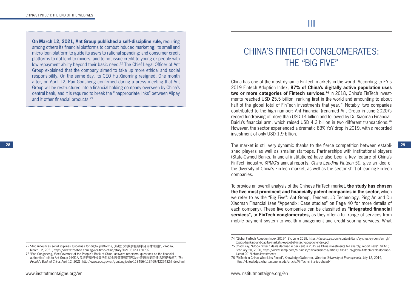**On March 12, 2021, Ant Group published a self-discipline rule,** requiring among others its financial platforms to combat induced marketing; its small and micro loan platform to guide its users to rational spending; and consumer credit platforms to not lend to minors, and to not issue credit to young or people with low repayment ability beyond their basic need.72 The Chief Legal Officer of Ant Group explained that the company aimed to take up more ethical and social responsibility. On the same day, its CEO Hu Xiaoming resigned. One month after, on April 12, Pan Gonsheng confirmed during a press meeting that Ant Group will be restructured into a financial holding company overseen by China's central bank, and it is required to break the "inappropriate links" between Alipay and it other financial products.73

# CHINA'S FINTECH CONGLOMERATES: THE "BIG FIVE"

China has one of the most dynamic FinTech markets in the world. According to EY's 2019 Fintech Adoption Index, **87% of China's digitally active population uses**  two or more categories of Fintech services.<sup>74</sup> In 2018, China's FinTech investments reached USD 25.5 billion, ranking first in the world and amounting to about half of the global total of FinTech investments that year.<sup>75</sup> Notably, two companies contributed to the high number: Ant Financial (renamed Ant Group in June 2020)'s record fundraising of more than USD 14 billion and followed by Du Xiaoman Financial, Baidu's financial arm, which raised USD 4.3 billion in two different transactions.<sup>76</sup> However, the sector experienced a dramatic 83% YoY drop in 2019, with a recorded investment of only USD 1.9 billion.

**28** The market is still very dynamic thanks to the fierce competition between established players as well as smaller start-ups. Partnerships with institutional players (State-Owned Banks, financial institutions) have also been a key feature of China's FinTech industry. KPMG's annual reports, *China Leading Fintech 50*, give an idea of the diversity of China's FinTech market, as well as the sector shift of leading FinTech companies.

> To provide an overall analysis of the Chinese FinTech market, **the study has chosen the five most prominent and financially potent companies in the sector,** which we refer to as the "Big Five": Ant Group, Tencent, JD Technology, Ping An and Du Xiaoman Financial (see "Appendix: Case studies" on Page 40 for more details of each company). These five companies can be classified as **"integrated financial services",** or **FinTech conglomerates,** as they offer a full range of services from mobile payment system to wealth management and credit scoring services. What

<sup>72 &</sup>quot;Ant announces self-disciplines guidelines for digital platforms, (蚂蚁公布数字金融平台自律准则)", *Zaobao*, March 12, 2021, https://ww w.zaobao.com.sg/realtime/china/story20210312-1130792

<sup>73 &</sup>quot;Pan Gongsheng, Vice-Governor of the People's Bank of China, answers reporters' questions on the financial authorities' talk to Ant Group (中国人民银行副行长潘功胜就金融管理部门再次约谈蚂蚁集团情况答记者问)", *The People's Bank of China*, April 12, 2021. http://www.pbc.gov.cn/goutongjiaoliu/113456/113469/4229432/index.html

<sup>74 &</sup>quot;Global FinTech Adoption Index 2019", *EY*, June 2019, https://assets.ey.com/content/dam/ey-sites/ey-com/en\_gl/ topics/banking-and-capital-markets/ey-global-fintech-adoption-index.pdf

<sup>75</sup> Chad Bray, "Global fintech deals declined 4 per cent in 2019 as China investments fell sharply, report says", S*CMP*, February 20, 2020, https://www.scmp.com/business/china-business/article/3051519/global-fintech-deals-declined-4-cent-2019-china-investments

<sup>76 &</sup>quot;FinTech in China: What Lies Ahead", Knowledge@Wharton, *Wharton University of Pennsylvania*, July 12, 2019, https://knowledge.wharton.upenn.edu/article/FinTech-china-lies-ahead/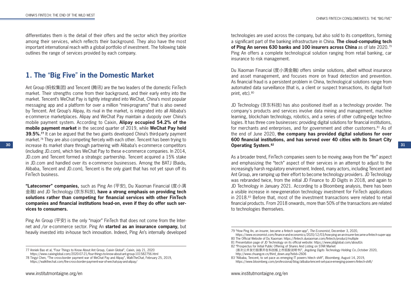differentiates them is the detail of their offers and the sector which they prioritize among their services, which reflects their background. They also have the most important international reach with a global portfolio of investment. The following table outlines the range of services provided by each company.

# **1. The** "**Big Five**" **in the Domestic Market**

**30 31 increase its market share through partnering with Alibaba's e-commerce competitors <b>31 Operating System.**<sup>82</sup> **31** Ant Group (蚂蚁集团) and Tencent (腾讯) are the two leaders of the domestic FinTech market. Their strengths come from their background, and their early entry into the market. Tencent's WeChat Pay is tightly integrated into WeChat, China's most popular messaging app and a platform for over a million "mini-programs" that is also owned by Tencent. Ant Group's Alipay, its rival in the market, is integrated into all Alibaba's e-commerce marketplaces. Alipay and WeChat Pay maintain a duopoly over China's mobile payment system. According to Caixin, **Alipay occupied 54.2% of the mobile payment market** in the second quarter of 2019, while **WeChat Pay held 39.5%.**<sup>77</sup> It can be argued that the two giants developed China's third-party payment market.<sup>78</sup> They are also competing fiercely with each other. Tencent has been trying to (including JD.com), which ties WeChat Pay to these e-commerce companies. In 2014, JD.com and Tencent formed a strategic partnership. Tencent acquired a 15% stake in JD.com and handled over its e-commerce businesses. Among the BATJ (Baidu, Alibaba, Tencent and JD.com), Tencent is the only giant that has not yet spun off its FinTech business.

**"Latecomer" companies,** such as Ping An (平安), Du Xiaoman Financial (度小满 金融) and JD Technology (京东科技), **have a strong emphasis on providing tech solutions rather than competing for financial services with other FinTech companies and financial institutions head-on, even if they do offer such services to consumers.**

Ping An Group (平安) is the only "major" FinTech that does not come from the Internet and /or e-commerce sector. Ping An **started as an insurance company,** but heavily invested into in-house tech innovation. Indeed, Ping An's internally developed

technologies are used across the company, but also sold to its competitors, forming a significant part of the banking infrastructure in China. **The cloud-computing tech of Ping An serves 630 banks and 100 insurers across China** as of late 2020.79 Ping An offers a complete technological solution ranging from retail banking, car insurance to risk management.

Du Xiaoman Financial (度小满金融) offers similar solutions, albeit without insurance and asset management, and focuses more on fraud detection and prevention. As financial fraud is a persistent problem in China, technological solutions range from automated data surveillance (that is, a client or suspect transactions, its digital footprint, etc). 80

JD Technology (京东科技) has also positioned itself as a technology provider. The company's products and services involve data mining and management, machine learning, blockchain technology, robotics, and a series of other cutting-edge technologies. It has three core businesses: providing digital solutions for financial institutions, for merchants and enterprises, and for government and other customers.<sup>81</sup> As of the end of June 2020, **the company has provided digital solutions for over 600 financial institutions, and has served over 40 cities with its Smart City Operating System.82**

As a broader trend, FinTech companies seem to be moving away from the "fin" aspect and emphasizing the "tech" aspect of their services in an attempt to adjust to the increasingly harsh regulatory environment. Indeed, many actors, including Tencent and Ant Group, are ramping up their effort to become technology providers. JD Technology was rebranded twice, from the initial JD Finance to JD Digits in 2018, and again to JD Technology in January 2021. According to a Bloomberg analysis, there has been a visible increase in new-generation technology investment for FinTech applications in 2018.83 Before that, most of the investment transactions were related to retail financial products. From 2018 onwards, more than 50% of the transactions are related to technologies themselves.

<sup>77</sup> Anniek Bao et al, "Four Things to Know About Ant Group, Caixin Global", *Caixin*, July 21, 2020 https://www.caixinglobal.com/2020-07-21/four-things-to-know-about-ant-group-101582756.html

<sup>78</sup> Tingyi Chen, "The cross-border payment war of WeChat Pay and Alipay", *WalkTheChat*, February 25, 2019, https://walkthechat.com/the-cross-border-payment-war-of-wechat-pay-and-alipay/

<sup>79 &</sup>quot;How Ping An, an insurer, became a fintech super-app", *The Economist*, December 3, 2020, https://www.economist.com/finance-and-economics/2020/12/03/how-ping-an-an-insurer-became-a-fintech-super-app 80 The Official Website of Du Xiaoman: https://fintech.duxiaoman.com/fintech/product/multiple

<sup>81</sup> Presentation page of JD Technology on its official website: https://www.jddglobal.com/aboutUs

<sup>82 &</sup>quot;Prospectus for Initial Public Offering of Shares And Listing on STAR Market

<sup>(</sup>首次公并发行股票开在科创板上市招股说明书)", *Jingdong Digits Technology Holding Co.*,October 2020, http://www.chuangze.cn/third\_down.asp?txtid=2606

<sup>83 &</sup>quot;Alibaba, Tencent, to set pace as emerging IT powers hitech shift", *Bloomberg*, August 14, 2019, https://www.bloomberg.com/professional/blog/alibaba-tencent-set-pace-emerging-powers-fintech-shift/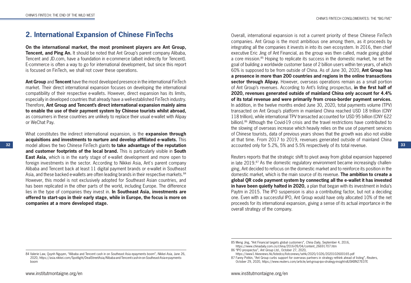# **2. International Expansion of Chinese FinTechs**

**On the international market, the most prominent players are Ant Group, Tencent, and Ping An.** It should be noted that Ant Group's parent company Alibaba, Tencent and JD.com, have a foundation in e-commerce (albeit indirectly for Tencent). E-commerce is often a way to go for international development, but since this report is focused on FinTech, we shall not cover these operations.

**Ant Group** and **Tencent** have the most developed presence in the international FinTech market. Their direct international expansion focuses on developing the international compatibility of their respective e-wallets. However, direct expansion has its limits, especially in developed countries that already have a well-established FinTech industry. Therefore, **Ant Group and Tencent's direct international expansion mainly aims to enable the use of their payment system by Chinese tourists whilst abroad,** as consumers in these countries are unlikely to replace their usual e-wallet with Alipay or WeChat Pay.

**32 33** model allows the two Chinese FinTech giants **to take advantage of the reputation**  What constitutes the indirect international expansion, is the **expansion through acquisitions and investments to nurture and develop affiliated e-wallets.** This **and customer footprints of the local brand.** This is particularly visible in **South East Asia,** which is in the early stage of e-wallet development and more open to foreign investments in the sector. According to Nikkei Asia, Ant's parent company Alibaba and Tencent back at least 11 digital payment brands or e-wallet in Southeast Asia, and these backed e-wallets are often leading brands in their respective markets. <sup>84</sup> However, this model is not exclusively adopted for Southeast Asian countries, and has been replicated in the other parts of the world, including Europe. The difference lies in the type of companies they invest in. **In Southeast Asia, investments are offered to start-ups in their early stage, while in Europe, the focus is more on companies at a more developed stage.**

84 Valerie Law, Quynh Nguyen, "Alibaba and Tencent cash in on Southeast Asia epayments boom", *Nikkei Asia*, June 26, 2020, https://asia.nikkei.com/Spotlight/DealStreetAsia/Alibaba-and-Tencent-cash-in-on-Southeast-Asia-e-payments-

Overall, international expansion is not a current priority of these Chinese FinTech companies. Ant Group is the most ambitious one among them, as it proceeds by integrating all the companies it invests in into its own ecosystem. In 2016, then chief executive Eric Jing of Ant Financial, as the group was then called, made going global a core mission.85 Hoping to replicate its success in the domestic market, he set the goal of building a worldwide customer base of 2 billion users within ten years, of which 60% is supposed to be from outside of China. As of June 30, 2020, **Ant Group has a presence in more than 200 countries and regions in the online transactions sector through Alipay.** However, overseas operations remain as a small portion of Ant Group's revenues. According to Ant's listing prospectus, **in the first half of 2020, revenues generated outside of mainland China only account for 4.4% of its total revenue and were primarily from cross-border payment services.** In addition, in the twelve months ended June 30, 2020, total payments volume (TPV) transacted on Ant Group's platform in mainland China reached USD 18 trillion (CNY 118 trillion), while international TPV transacted accounted for USD 95 billion (CNY 622 billion).<sup>86</sup> Although the Covid-19 crisis and the travel restrictions have contributed to the slowing of overseas increase which heavily relies on the use of payment services of Chinese tourists, data of previous years shows that the growth was also not visible at that time. From 2017 to 2019, revenues generated outside of mainland China accounted only for 5.2%, 5% and 5.5% respectively of its total revenue.

Reuters reports that the strategic shift to pivot away from global expansion happened in late 2019.<sup>87</sup> As the domestic regulatory environment became increasingly challenging, Ant decided to refocus on the domestic market and to reinforce its position in the domestic market, which is the main source of its revenue. **The ambition to create a global QR code payment system by connecting all the e-wallet it has invested in have been quietly halted in 2020,** a plan that began with its investment in India's Paytm in 2015. The IPO suspension is also a contributing factor, but not a deciding one. Even with a successful IPO, Ant Group would have only allocated 10% of the net proceeds for its international expansion, giving a sense of its actual importance in the overall strategy of the company.

boom

<sup>85</sup> Meng Jing, "Ant Financial targets global customers", *China Daily*, September 4, 2016, https://www.chinadaily.com.cn/china/2016-09/04/content\_26691707.htm

<sup>86 &</sup>quot;IPO prospectus", *Ant Group Ltd.*, October 27, 2020,

https://www1.hkexnews.hk/listedco/listconews/sehk/2020/1026/2020102600165.pdf

<sup>87</sup> Fanny Potkin, "Ant Group curbs support for overseas partners in strategy rethink ahead of listing", *Reuters*, October 29, 2020, https://www.reuters.com/article/ant-group-ipo-strategy-insight-idUSKBN27E07E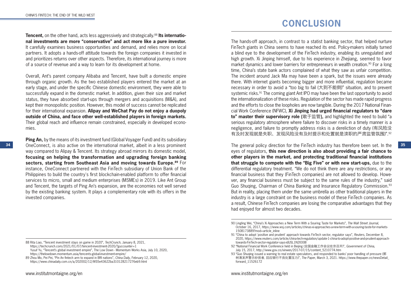**CONCLUSION**

**Tencent,** on the other hand, acts less aggressively and strategically.<sup>88</sup> Its internatio**nal investments are more "conservative" and act more like a pure investor.** It carefully examines business opportunities and demand, and relies more on local partners. It adopts a hands-off attitude towards the foreign companies it invested in and prioritizes returns over other aspects. Therefore, its international journey is more of a source of revenue and a way to learn for its development at home.

Overall, Ant's parent company Alibaba and Tencent, have built a domestic empire through organic growth. As the two established players entered the market at an early stage, and under the specific Chinese domestic environment, they were able to successfully expand in the domestic market. In addition, given their size and market status, they have absorbed start-ups through mergers and acquisitions (M&A), and kept their monopolistic position. However, this model of success cannot be replicated for their international expansion. **Alipay and WeChat Pay do not enjoy a duopoly outside of China, and face other well-established players in foreign markets.** Their global reach and influence remain constrained, especially in developed economies.

**Ping An,** by the means of its investment fund (Global Voyager Fund) and its subsidiary way compared to Alipay & Tencent. Its strategy abroad mirrors its domestic model, **focusing on helping the transformation and upgrading foreign banking sectors, starting from Southeast Asia and moving towards Europe.89** For instance, OneConnect partnered with the FinTech subsidiary of Union Bank of the Philippines to build the country's first blockchain-enabled platform to offer financial services to micro, small and medium enterprises (MSMEs) in 2019. Like Ant Group and Tencent, the targets of Ping An's expansion, are the economies not well served by the existing banking system. It plays a complementary role with its offers in the invested companies.

The hands-off approach, in contrast to a statist banking sector, that helped nurture FinTech giants in China seems to have reached its end. Policy-makers initially turned a blind eye to the development of the FinTech industry, enabling its unregulated and high growth. Xi Jinping himself, due to his experience in Zhejiang, seemed to favor market dynamics and lower barriers for entrepreneurs in wealth creation.<sup>90</sup> For a long time, China's state bank actors complained of what they saw as unfair competition. The incident around Jack Ma may have been a spark, but the issues were already there. With internet giants becoming bigger and more influential, regulation became necessary in order to avoid a "too big to fail (大到不能倒)" situation, and to prevent systemic risks.<sup>91</sup> The coming giant Ant IPO may have been the last opportunity to avoid the internationalization of these risks. Regulation of the sector has made rapid progress and the efforts to close the loopholes are now tangible. During the 2017 National Financial Work Conference (NFWC), **Xi Jinping had urged financial regulators to "dare to" master their supervisory role (**敢于监管**),** and highlighted the need to build "a serious regulatory atmosphere where failure to discover risks in a timely manner is a negligence, and failure to promptly address risks is a dereliction of duty (有风险没 有及时发现就是失职、发现风险没有及时提示和处置就是渎职的严肃监管氛围)".92

34 OneConnect, is also active on the international market, albeit in a less prominent The general policy direction for the FinTech industry has therefore been set. In the 35 The general policy direction for the FinTech industry has therefore been set. In the eyes of regulators, **this new direction is also about providing a fair chance to other players in the market, and protecting traditional financial institutions that struggle to compete with the "Big Five" or with new start-ups,** due to the differential regulatory treatment. "We do not think there are any restrictions, or any financial business that they (FinTech companies) are not allowed to develop. However, any financial business must be subject to the same rules of the industry," said Guo Shuqing, Chairman of China Banking and Insurance Regulatory Commission.93 But in reality, placing them under the same umbrella as other traditional players in the industry is a large constraint on the business model of these FinTech companies. As a result, Chinese FinTech companies are losing the comparative advantages that they had enjoyed for almost two decades.

<sup>88</sup> Rita Liao, "Tencent investment stays on game in 2020", *TechCrunch*, January 8, 2021, https://techcrunch.com/2021/01/07/tencent-investment-2020/?guccounter=1 Yusuf Yu, "Tencent's global investment empire", The Low Down - Momentum Works Asia, July 10, 2020, https://thelowdown.momentum.asia/tencents-global-investment-empire/ 89 Zhou Mo, Pei Pei, "Pin An fintech arm to expand in BRI nations", *China Daily*, February 12, 2020,

https://www.chinadaily.com.cn/a/202002/12/WS5e43622ba310128217276eb9.html

<sup>90</sup> Lingling Wei, "China's Xi Approaches a New Term With a Souring Taste for Markets", *The Wall Street Journal*, October 16, 2017, https://www.wsj.com/articles/chinas-xi-approaches-a-new-term-with-a-souring-taste-for-markets-1508173889?mod=article\_inline

<sup>91 &</sup>quot;China to adopt 'positive and prudent' approach towards FinTech sector, regulator says", *Reuters*, December 8, 2020, https://www.reuters.com/article/china-tech-regulation/update-1-china-to-adopt-positive-and-prudent-approachtowards-FinTech-sector-regulator-says-idUSL1N2IO08I

<sup>92 &</sup>quot;National Financial Work Conference held in Beijing (全国金融工作会议在京召开)", *Government of China*, July 15, 2017, http://www.gov.cn/xinwen/2017-07/15/content\_5210774.htm

<sup>93 &</sup>quot;Guo Shuqing issued a warning to real estate speculators, and responded to banks' poor handling of pressure (郭 树清发声警示炒房者, 回应银行不良处置压力)", *The Paper*, March 3, 2021. https://www.thepaper.cn/newsDetail\_ forward\_11526172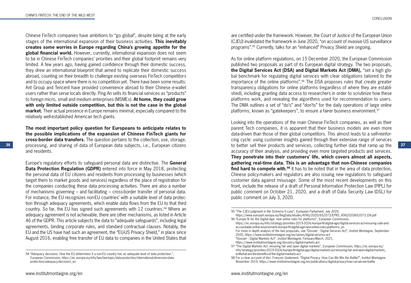Chinese FinTech companies have ambitions to "go global", despite being at the early stages of the international expansion of their business activities. **This inevitably creates some worries in Europe regarding China's growing appetite for the global financial world.** However, currently, international expansion does not seem to be in Chinese FinTech companies' priorities and their global footprint remains very limited. A few years ago, having gained confidence through their domestic success, they drew an international blueprint that aimed to replicate their domestic success abroad, counting on their breadth to challenge existing overseas FinTech competitors and to occupy space where there is no competition yet. There have been some results: Ant Group and Tencent have provided convenience abroad to their Chinese e-wallet users rather than serve locals directly. Ping An sells its financial services as "products" to foreign micro, small and medium enterprises (MSMEs). **At home, they could grow with only limited outside competition, but this is not the case in the global market.** Their actual presence in Europe remains minimal, especially compared to the relatively well-established American tech giants.

36 **36 processing, and sharing of data of European data subjects, i.e., European citizens to better sell their products and services, collecting further data that ramp up the 37 The most important policy question for Europeans to anticipate relates to the possible implications of the expansion of Chinese FinTech giants for cross-border data transfers.** The question pertains to the collection, use, storage, processing, and sharing of data of European data subjects, i.e., European citizens and residents.

Europe's regulatory efforts to safeguard personal data are distinctive. The **General Data Protection Regulation (GDPR)** entered into force in May 2018, protecting the personal data of EU citizens and residents from processing by businesses (which target them to market goods and services) regardless of the place of registration for the companies conducting these data processing activities. There are also a number of mechanisms governing – and facilitating – cross-border transfer of personal data. For instance, the EU recognizes non-EU countries' with a suitable level of data protection through adequacy agreements, which enable data flows from the EU to that third country. So far, the EU has signed such agreements with 12 countries.<sup>94</sup> Where an adequacy agreement is not achievable, there are other mechanisms, as listed in Article 46 of the GDPR. This article subjects the data to "adequate safeguards", including legal agreements, binding corporate rules, and standard contractual clauses. Notably, the EU and the US have had such an agreement, the "EU-US Privacy Shield," in place since August 2016, enabling free transfer of EU data to companies in the United States that

are certified under the framework. However, the Court of Justice of the European Union (CJEU) invalidated the framework in June 2020, "on account of invasive US surveillance programs".95 Currently, talks for an "enhanced" Privacy Shield are ongoing.

As for online platform regulations, on 15 December 2020, the European Commission published two proposals as part of its European digital strategy. The two proposals, **the Digital Services Act (DSA) and Digital Markets Act (DMA),** "set a high global benchmark for regulating digital services with clear obligations tailored to the importance of the online platforms".96 The DSA proposes rules that create greater transparency obligations for online platforms (regardless of where they are established), including granting data access to researchers in order to scrutinize how these platforms work, and revealing the algorithms used for recommendation to users. The DMA outlines a set of "do's" and "don'ts" for the daily operations of large online platforms, known as "gatekeepers", to ensure a fairer business environment.<sup>97</sup>

Looking into the operations of the main Chinese FinTech companies, as well as their parent Tech companies, it is apparent that their business models are even more data-driven than those of their global competitors. This almost leads to a self-reinforcing cycle: using customer insights gained through their extensive range of services accuracy of their analysis, and providing even more targeted products and services. **They penetrate into their customers' life, which covers almost all aspects, gathering real-time data. This is an advantage that non-Chinese companies find hard to compete with.**<sup>98</sup> It has to be noted that in the area of data protection. Chinese policy-makers and regulators are also issuing new regulations to safeguard customer data against misusage. Some of the most recent developments on this front, include the release of a draft of Personal Information Protection Law (PIPL) for public comment on October 21, 2020, and a draft of Data Security Law (DSL) for public comment on July 3, 2020.

- For more in depth analysis of the two proposals, see "Dossier : Digital Services Act", *Institut Montaigne*, September 2020, https://www.institutmontaigne.org/en/series/digital-services-act
- "Dossier : Digital Markets Act", *Institut Montaigne,* Ferbuary-March, 2021, https://www.institutmontaigne.org/dossiers/digital-markets-act

<sup>94 &</sup>quot;Adequacy decisions: How the EU determines if a non-EU country has an adequate level of data protection.", *European Commission*, https://ec.europa.eu/info/law/law-topic/data-protection/international-dimension-dataprotection/adequacy-decisions\_en

<sup>95 &</sup>quot;The CJEU judgment in the Schrems II case", *European Parliament*, July 2020, https://www.europarl.europa.eu/RegData/etudes/ATAG/2020/652073/EPRS\_ATA(2020)652073\_EN.pdf 96 "Europe fit for the Digital Age: new online rules for platforms", *European Commission*,

https://ec.europa.eu/info/strategy/priorities-2019-2024/europe-fit-digital-age/digital-services-act-ensuring-safe-andaccountable-online-environment/europe-fit-digital-age-new-online-rules-platforms\_en

<sup>97 &</sup>quot;The Digital Markets Act: ensuring fair and open digital markets", *European Commission*, https://ec.europa.eu/ info/strategy/priorities-2019-2024/europe-fit-digital-age/digital-markets-act-ensuring-fair-and-open-digital-markets\_ en#what-are-the-benefits-of-the-digital-markets-act

<sup>98</sup> For a clear account of this: François Godement, "Digital Privacy: How Can We Win the Battle?", *Institut Montaigne*, November 2019, https://www.institutmontaigne.org/en/publications/digital-privacy-how-can-we-win-battle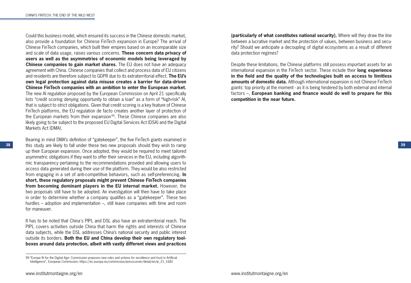Could this business model, which ensured its success in the Chinese domestic market, also provide a foundation for Chinese FinTech expansion in Europe? The arrival of Chinese FinTech companies, which built their empires based on an incomparable size and scale of data usage, raises various concerns. **These concern data privacy of users as well as the asymmetries of economic models being leveraged by Chinese companies to gain market shares.** The EU does not have an adequacy agreement with China. Chinese companies that collect and process data of EU citizens and residents are therefore subject to GDPR due to its extraterritorial effect. **The EU's own legal protection against data misuse creates a barrier for data-driven Chinese FinTech companies with an ambition to enter the European market.** The new AI regulation proposed by the European Commission on April 21 specifically lists "credit scoring denying opportunity to obtain a loan" as a form of "high-risk" AI, that is subject to strict obligations. Given that credit scoring is a key feature of Chinese FinTech platforms, the EU regulation de facto creates another layer of protection of the European markets from their expansion<sup>99</sup>. These Chinese companies are also likely going to be subject to the proposed EU Digital Services Act (DSA) and the Digital Markets Act (DMA).

**38 39** this study are likely to fall under these two new proposals should they wish to ramp Bearing in mind DMA's definition of "gatekeeper", the five FinTech giants examined in up their European expansion. Once adopted, they would be required to meet tailored asymmetric obligations if they want to offer their services in the EU, including algorithmic transparency pertaining to the recommendations provided and allowing users to access data generated during their use of the platform. They would be also restricted from engaging in a set of anti-competitive behaviors, such as self-preferencing. **In short, these regulatory proposals might prevent Chinese FinTech companies from becoming dominant players in the EU internal market.** However, the two proposals still have to be adopted. An investigation will then have to take place in order to determine whether a company qualifies as a "gatekeeper". These two hurdles – adoption and implementation –, still leave companies with time and room for maneuver.

It has to be noted that China's PIPL and DSL also have an extraterritorial reach. The PIPL covers activities outside China that harm the rights and interests of Chinese data subjects, while the DSL addresses China's national security and public interest outside its borders. **Both the EU and China develop their own regulatory toolboxes around data protection, albeit with vastly different views and practices** 

**(particularly of what constitutes national security).** Where will they draw the line between a lucrative market and the protection of values, between business and security? Should we anticipate a decoupling of digital ecosystems as a result of different data protection regimes?

Despite these limitations, the Chinese platforms still possess important assets for an international expansion in the FinTech sector. These include their **long experience in the field and the quality of the technologies built on access to limitless amounts of domestic data.** Although international expansion is not Chinese FinTech giants' top priority at the moment - as it is being hindered by both external and internal factors –, **European banking and finance would do well to prepare for this competition in the near future.**

<sup>99 &</sup>quot;Europe fit for the Digital Age: Commission proposes new rules and actions for excellence and trust in Artificial Intelligence", *European Commission*, https://ec.europa.eu/commission/presscorner/detail/en/ip\_21\_1682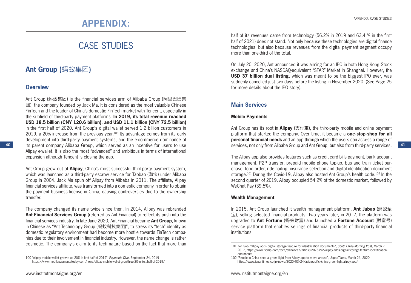# CASE STUDIES

# **Ant Group (**蚂蚁集团**)**

### **Overview**

**40**

Ant Group (蚂蚁集团) is the financial services arm of Alibaba Group (阿里巴巴集 团), the company founded by Jack Ma. It is considered as the most valuable Chinese FinTech and the leader of China's domestic FinTech market with Tencent, especially in the subfield of third-party payment platforms. **In 2019, its total revenue reached USD 18.5 billion (CNY 120.6 billion), and USD 11.1 billion (CNY 72.5 billion)** in the first half of 2020. Ant Group's digital wallet served 1.2 billion customers in 2019, a 20% increase from the previous year.<sup>100</sup> Its advantage comes from its early development into third-party payment systems, and the e-commerce dominance of its parent company Alibaba Group, which served as an incentive for users to use Alipay e-wallet. It is also the most "advanced" and ambitious in terms of international expansion although Tencent is closing the gap.

Ant Group grew out of **Alipay**, China's most successful third-party payment system, which was launched as a third-party escrow service for Taobao (淘宝) under Alibaba Group in 2004. Jack Ma spun off Alipay from Alibaba in 2011. The affiliate, Alipay financial services affiliate, was transformed into a domestic company in order to obtain the payment business license in China, causing controversies due to the ownership transfer.

The company changed its name twice since then. In 2014, Alipay was rebranded **Ant Financial Services Group** (referred as Ant Financial) to reflect its push into the financial services industry. In late June 2020, Ant Financial became **Ant Group**, known in Chinese as "Ant Technology Group (蚂蚁科技集团)", to stress its "tech" identity as domestic regulatory environment had become more hostile towards FinTech companies due to their involvement in financial industry. However, the name change is rather cosmetic. The company's claim to its tech nature based on the fact that more than half of its revenues came from technology (56.2% in 2019 and 63.4 % in the first half of 2021) does not stand. Not only because these technologies are digital finance technologies, but also because revenues from the digital payment segment occupy more than one-third of the total.

On July 20, 2020, Ant announced it was aiming for an IPO in both Hong Kong Stock exchange and China's NASDAQ-equivalent "STAR" Market in Shanghai. However, the **USD 37 billion dual listing**, which was meant to be the biggest IPO ever, was suddenly cancelled just two days before the listing in November 2020. (See Page 25 for more details about the IPO story).

# **Main Services**

### **Mobile Payments**

Ant Group has its root in **Alipay** (支付宝), the third-party mobile and online payment platform that started the company. Over time, it became a **one-stop-shop for all personal financial needs** and an app through which the users can access a range of services, not only from Alibaba Group and Ant Group, but also from third-party services.

**41**

The Alipay app also provides features such as credit card bills payment, bank account management, P2P transfer, prepaid mobile phone top-up, bus and train ticket purchase, food order, ride hailing, insurance selection and digital identification document storage.<sup>101</sup> During the Covid-19, Alipay also hosted Ant Group's health code.<sup>102</sup> In the second quarter of 2019, Alipay occupied 54.2% of the domestic market, followed by WeChat Pay (39.5%).

#### **Wealth Management**

In 2015, Ant Group launched it wealth management platform, **Ant Jubao** (蚂蚁聚 宝), selling selected financial products. Two years later, in 2017, the platform was upgraded to **Ant Fortune** (蚂蚁财富) and launched a **Fortune Account** (财富号) service platform that enables sellings of financial products of third-party financial institutions.

<sup>100 &</sup>quot;Alipay mobile wallet growth up 20% in first-half of 2019", *Payments Dive*, September 24, 2019 https://www.mobilepaymentstoday.com/news/alipay-mobile-wallet-growth-up-20-in-first-half-of-2019/

<sup>101</sup> Zen Soo, "Alipay adds digital storage feature for identification documents", *South China Morning Post*, March 7, 2017, https://www.scmp.com/tech/china-tech/article/2076792/alipay-adds-digital-storage-feature-identificationdocuments

<sup>102 &</sup>quot;People in China need a green light from Alipay app to move around", *JapanTimes*, March 24, 2020, https://www.japantimes.co.jp/news/2020/03/24/asia-pacific/china-green-light-alipay-app/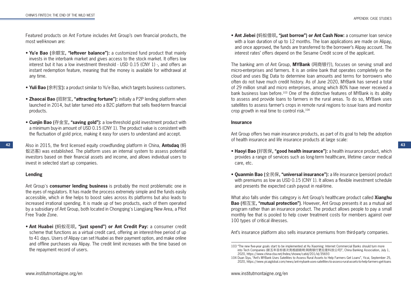Featured products on Ant Fortune includes Ant Group's own financial products, the most well-known are:

- **Yu'e Bao (**余额宝**, "leftover balance"):** a customized fund product that mainly invests in the interbank market and gives access to the stock market. It offers low interest but it has a low investment threshold - USD 0.15 (CNY 1) -, and offers an instant redemption feature, meaning that the money is available for withdrawal at any time.
- **Yuli Bao (**余利宝**):** a product similar to Yu'e Bao, which targets business customers.
- **Zhaocai Bao (**招财宝**, "attracting fortune"):** initially a P2P lending platform when launched in 2014, but later turned into a B2C platform that sells fixed-term financial products.
- **Cunjin Bao (**存金宝**, "saving gold"):** a low-threshold gold investment product with a minimum buy-in amount of USD 0.15 (CNY 1). The product value is consistent with the fluctuation of gold price, making it easy for users to understand and accept.
- **42 43** Also in 2015, the first licensed equity crowdfunding platform in China, **Antsdaq** (蚂 蚁达客) was established. The platform uses an internal system to assess potential investors based on their financial assets and income, and allows individual users to invest in selected start up companies.

### **Lending**

Ant Group's **consumer lending business** is probably the most problematic one in the eyes of regulators. It has made the process extremely simple and the funds easily accessible, which *in fine* helps to boost sales across its platforms but also leads to increased irrational spending. It is made up of two products, each of them operated by a subsidiary of Ant Group, both located in Chongqing's Liangjiang New Area, a Pilot Free Trade Zone.

• **Ant Huabei (**蚂蚁花呗**, "just spend") or Ant Credit Pay:** a consumer credit scheme that functions as a virtual credit card, offering an interest-free period of up to 41 days. Users of Alipay can set Huabei as their payment option, and make online and offline purchases via Alipay. The credit limit increases with the time based on the repayment record of users.

• **Ant Jiebei (**蚂蚁借呗**, "just borrow") or Ant Cash Now:** a consumer loan service with a loan duration of up to 12 months. The loan applications are made on Alipay, and once approved, the funds are transferred to the borrower's Alipay account. The interest rates' offers depend on the Sesame Credit score of the applicant.

The banking arm of Ant Group, **MYBank** (网商银行), focuses on serving small and micro-enterprises and farmers. It is an online bank that operates completely on the cloud and uses Big Data to determine loan amounts and terms for borrowers who often do not have much credit history. As of June 2020, MYBank has served a total of 29 million small and micro enterprises, among which 80% have never received a bank business loan before.<sup>103</sup> One of the distinctive features of MYBank is its ability to assess and provide loans to farmers in the rural areas. To do so, MYBank uses satellites to assess farmer's crops in remote rural regions to issue loans and monitor crop growth in real time to control risk.104

#### **Insurance**

Ant Group offers two main insurance products, as part of its goal to help the adoption of health insurance and life insurance products at large scale:

- **Haoyi Bao (**好医保**, "good health insurance"):** a health insurance product, which provides a range of services such as long-term healthcare, lifetime cancer medical care, etc.
- **Quanmin Bao (**全民保**, "universal insurance"):** a life insurance (pension) product with premiums as low as USD 0.15 (CNY 1). It allows a flexible investment schedule and presents the expected cash payout in real-time.

What also falls under this category is Ant Group's healthcare product called **Xianghu Bao (**相互宝**, "mutual protection")**. However, Ant Group presents it as a mutual aid program rather than an insurance product. The product allows people to pay a small monthly fee that is pooled to help cover treatment costs for members against over 100 types of critical illnesses.

Ant's insurance platform also sells insurance premiums from third-party companies.

<sup>103 &</sup>quot;The new five-year goals start to be implemented at Hu Xiaoming: Internet Commercial Banks should turn more into Tech Companies (新五年目标首次亮相胡晓明:网商银行更应是科技公司)", China Banking Association, July 1, 2020, https://www.china-cba.net/Index/showw/catid/201/id/35693

<sup>104</sup> Duan Siyu, "Ant's MYBank Uses Satellites to Assess Rural Assets to Help Farmers Get Loans", Yicai, September 25, 2020, https://www.yicaiglobal.com/news/ant-mybank-uses-satellites-to-assess-rural-assets-to-help-farmers-get-loans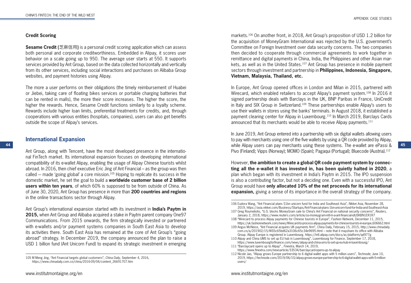#### **Credit Scoring**

**Sesame Credit (**芝麻信用**)** is a personal credit scoring application which can assess both personal and corporate creditworthiness. Embedded in Alipay, it scores user behavior on a scale going up to 950. The average user starts at 550. It supports services provided by Ant Group, based on the data collected horizontally and vertically from its other services, including social interactions and purchases on Alibaba Group websites, and payment histories using Alipay.

The more a user performs on their obligations (the timely reimbursement of Huabei or Jiebei, taking care of floating bikes services or portable charging batteries that can be rented in malls), the more their score increases. The higher the score, the higher the rewards. Hence, Sesame Credit functions similarly to a loyalty scheme. Rewards include higher loan limits, preferential treatments for credits, and, through cooperations with various entities (hospitals, companies), users can also get benefits outside the scope of Alipay's services.

### **International Expansion**

Ant Group, along with Tencent, have the most developed presence in the international FinTech market. Its international expansion focuses on developing international compatibility of its e-wallet Alipay, enabling the usage of Alipay Chinese tourists whilst abroad. In 2016, then chief executive Eric Jing of Ant Financial – as the group was then called – made 'going global' a core mission.<sup>105</sup> Hoping to replicate its success in the domestic market, he set the goal to build a **worldwide customer base of 2 billion users within ten years**, of which 60% is supposed to be from outside of China. As of June 30, 2020, Ant Group has presence in more than **200 countries and regions** in the online transactions sector through Alipay.

Ant Group's international expansion started with its investment in **India's Paytm in 2015,** when Ant Group and Alibaba acquired a stake in Paytm parent company One97 Communications. From 2015 onwards, the firm strategically invested or partnered with e-wallets and/or payment systems companies in South East Asia to develop its activities there. South East Asia has remained at the core of Ant Group's "going abroad" strategy. In December 2019, the company announced the plan to raise a USD 1 billion fund (Ant Unicorn Fund) to expand its strategic investment in emerging markets.106 On another front, in 2018, Ant Group's proposition of USD 1.2 billion for the acquisition of MoneyGram International was rejected by the U.S. government's Committee on Foreign Investment over data security concerns. The two companies then decided to cooperate through commercial agreements to work together in remittance and digital payments in China, India, the Philippines and other Asian markets, as well as in the United States.107 Ant Group has presence in mobile payment sectors through investment and partnership in **Philippines, Indonesia, Singapore, Vietnam, Malaysia, Thailand, etc.**

In Europe, Ant Group opened offices in London and Milan in 2015, partnered with Wirecard, which enabled retailers to accept Alipay's payment system.<sup>108</sup> In 2016 it signed partnership deals with Barclays in the UK, BNP Paribas in France, UniCredit in Italy and SIX Group in Switzerland.109 These partnerships enable Alipay's users to use their wallets in stores using the banks' terminals. In August 2018, it established a payment clearing center for Alipay in Luxembourg.110 In March 2019, Barclays Cards announced that its merchants would be able to receive Alipay payments.<sup>111</sup>

**44 45** while Alipay users can pay merchants using these systems. The e-wallet are ePassi & In June 2019, Ant Group entered into a partnership with six digital wallets allowing users to pay with merchants using one of the five wallets by using a QR code provided by Alipay, Pivo (Finland); Vipps (Norway); MOMO (Spain); Pagaqui (Portugal); Bluecode (Austria).112

> However, **the ambition to create a global QR code payment system by connecting all the e-wallet it has invested in, has been quietly halted in 2020**, a plan which began with its investment in India's Paytm in 2015. The IPO suspension is also a contributing factor, but not a deciding one. Even with a successful IPO, Ant Group would have **only allocated 10% of the net proceeds for its international expansion,** giving a sense of its importance in the overall strategy of the company.

https://www.finextra.com/newsarticle/33534/barclaycard-opens-up-to-alipay

<sup>105</sup> M Meng Jing, "Ant Financial targets global customers", *China Daily*, September 4, 2016, https://www.chinadaily.com.cn/china/2016-09/04/content\_26691707.htm

<sup>106</sup> Eudora Wang, "Ant Financial plans \$1bn unicorn fund for India and Southeast Asia", *Nikkei Asia*, November 28,

<sup>2019,</sup> https://asia.nikkei.com/Business/Startups/Ant-Financial-plans-1bn-unicorn-fund-for-India-and-Southeast-Asia 107 Greg Roumeliotis, "U.S. blocks MoneyGram sale to China's Ant Financial on national security concerns", *Reuters*,

January 2, 2018, https://www.reuters.com/article/us-moneygram-intl-m-a-ant-financial-idUSKBN1ER1R7 108 "Wirecard to process Alipay payments for Chinese tourists in Europe", *Fashion Network*, December 11, 2015,

https://uk.fashionnetwork.com/news/Wirecard-to-process-alipay-payments-for-chinese-tourists-in-europe,606662.html

<sup>109</sup> Angus McNeice, "Ant Financial acquires UK payments firm", China Daily, February 15, 2015, http://www.chinadaily. com.cn/a/201902/15/WS5c65bd62a3106c65c34e9695.html – note that it mayshare its office with Alibaba Group. Alipay Europe is registered in Luxembourg. https://intl.alipay.com/docs/ac/platform/qd977g

<sup>110</sup> Alipay and China UMS to set up EU hub in Luxembourg", Luxembourg for Finance, September 17, 2018, https://www.luxembourgforfinance.com/news/alipay-and-china-ums-to-set-up-eu-hub-in-luxembourg/ 111 "Barclaycard opens up to Alipay" , *Finextra*, March 14, 2019,

<sup>112</sup> Nicole Jao, "Alipay grows Europe partnership to 6 digital wallet apps with 5 million users", *Technode*, June 10, 2019, https://technode.com/2019/06/10/alipay-grows-europe-partnership-to-6-digital-wallet-apps-with-5-millionusers/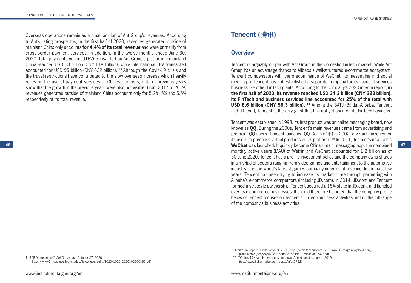Overseas operations remain as a small portion of Ant Group's revenues. According to Ant's listing prospectus, in the first half of 2020, revenues generated outside of mainland China only accounts **for 4.4% of its total revenue** and were primarily from cross-border payment services. In addition, in the twelve months ended June 30, 2020, total payments volume (TPV) transacted on Ant Group's platform in mainland China reached USD 18 trillion (CNY 118 trillion), while international TPV transacted accounted for USD 95 billion (CNY 622 billion).113 Although the Covid-19 crisis and the travel restrictions have contributed to the slow overseas increase which heavily relies on the use of payment services of Chinese tourists, data of previous years show that the growth in the previous years were also not visible. From 2017 to 2019, revenues generated outside of mainland China accounts only for 5.2%, 5% and 5.5% respectively of its total revenue.

# **Tencent (**腾讯**)**

# **Overview**

Tencent is arguably on par with Ant Group in the domestic FinTech market. While Ant Group has an advantage thanks to Alibaba's well-structured e-commerce ecosystem, Tencent compensates with the predominance of WeChat, its messaging and social media app. Tencent has not established a separate company for its financial services business like other FinTech giants. According to the company's 2020 interim report, **in the first half of 2020, its revenue reached USD 34.2 billion (CNY 223 billion), its FinTech and business services line accounted for 25% of the total with USD 8.6 billion (CNY 56.3 billion).114** Among the BATJ (Baidu, Alibaba, Tencent and JD.com), Tencent is the only giant that has not yet spun off its FinTech business.

**46 47 WeChat** was launched. It quickly became China's main messaging app, the combined Tencent was established in 1998. Its first product was an online messaging board, now known as **QQ.** During the 2000s, Tencent's main revenues came from advertising and premium QQ users. Tencent launched QQ Coins (Q币) in 2002, a virtual currency for its users to purchase virtual products on its platform.115 In 2011, Tencent's now-iconic monthly active users (MAU) of Weixin and WeChat accounted for 1.2 billion as of 30 June 2020. Tencent has a prolific investment policy and the company owns shares in a myriad of sectors ranging from video games and entertainment to the automotive industry. It is the world's largest games company in terms of revenue. In the past few years, Tencent has been trying to increase its market share through partnering with Alibaba's e-commerce competitors (including JD.com). In 2014, JD.com and Tencent formed a strategic partnership. Tencent acquired a 15% stake in JD.com, and handled over its e-commerce businesses. It should therefore be noted that the company profile below of Tencent focuses on Tencent's FinTech business activities, not on the full range of the company's business activities.

https://www.hulianmaibo.com/posts/info/17221

113 "IPO prospectus", *Ant Group Ltd.*, October 27, 2020, https://www1.hkexnews.hk/listedco/listconews/sehk/2020/1026/2020102600165.pdf

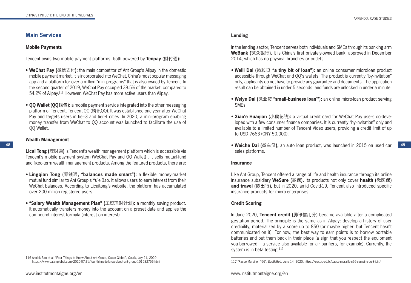# **Main Services**

#### **Mobile Payments**

Tencent owns two mobile payment platforms, both powered by **Tenpay (**财付通**):**

- **WeChat Pay (**微信支付**):** the main competitor of Ant Group's Alipay in the domestic mobile payment market. It is incorporated into WeChat, China's most popular messaging app and a platform for over a million "mini-programs" that is also owned by Tencent. In the second quarter of 2019, WeChat Pay occupied 39.5% of the market, compared to 54.2% of Alipay.116 However, WeChat Pay has more active users than Alipay.
- **QQ Wallet (QQ**钱包**):** a mobile payment service integrated into the other messaging platform of Tencent, Tencent QQ (腾讯QQ). It was established one year after WeChat Pay and targets users in tier-3 and tier-4 cities. In 2020, a mini-program enabling money transfer from WeChat to QQ account was launched to facilitate the use of QQ Wallet.

#### **Wealth Management**

**Licai Tong (**理财通**)** is Tencent's wealth management platform which is accessible via Tencent's mobile payment system (WeChat Pay and QQ Wallet) . It sells mutual-fund and fixed-term wealth management products. Among the featured products, there are:

- **Lingqian Tong (**零钱通**, "balances made smart"):** a flexible money-market mutual fund similar to Ant Group's Yu'e Bao. It allows users to earn interest from their WeChat balances. According to Licaitong's website, the platform has accumulated over 200 million registered users.
- **"Salary Wealth Management Plan" (**工资理财计划**):** a monthly saving product. It automatically transfers money into the account on a preset date and applies the compound interest formula (interest on interest).

#### APPENDIX: CASE STUDIES

### **Lending**

In the lending sector, Tencent serves both individuals and SMEs through its banking arm **WeBank (**微众银行**).** It is China's first privately-owned bank, approved in December 2014, which has no physical branches or outlets.

- **Weili Dai (**微粒贷 **"a tiny bit of loan"):** an online consumer microloan product accessible through WeChat and QQ's wallets. The product is currently "by-invitation" only, applicants do not have to provide any guarantee and documents. The application result can be obtained in under 5 seconds, and funds are unlocked in under a minute.
- **Weiye Dai (**微业贷 **"small-business loan'"):** an online micro-loan product serving SMEs.
- **Xiao'e Huaqian (**小鹅花钱**):** a virtual credit card for WeChat Pay users co-developed with a few consumer finance companies. It is currently "by-invitation" only and available to a limited number of Tencent Video users, providing a credit limit of up to USD 7663 (CNY 50,000).
- **48 49 Weiche Dai (**微车贷**),** an auto loan product, was launched in 2015 on used car sales platforms.

#### **Insurance**

Like Ant Group, Tencent offered a range of life and health insurance through its online insurance subsidiary **WeSure (**微保**).** Its products not only cover **health (**微医保**) and travel (**微出行**),** but in 2020, amid Covid-19, Tencent also introduced specific insurance products for micro-enterprises.

### **Credit Scoring**

In June 2020, **Tencent credit (**腾讯信用分**)** became available after a complicated gestation period. The principle is the same as in Alipay: develop a history of user credibility, materialized by a score up to 850 (or maybe higher, but Tencent hasn't communicated on it). For now, the best way to earn points is to borrow portable batteries and put them back in their place (a sign that you respect the equipment you borrowed – a service also available for air purifiers, for example). Currently, the system is in beta testing.<sup>117</sup>

<sup>116</sup> Anniek Bao et al, "Four Things to Know About Ant Group, Caixin Global", *Caixin*, July 21, 2020

https://www.caixinglobal.com/2020-07-21/four-things-to-know-about-ant-group-101582756.html 117 "Passe Muraille n°66", *EastIsRe*d, June 14, 2020, https://eastisred.fr/passe-muraille-n66-semaine-du-8-juin/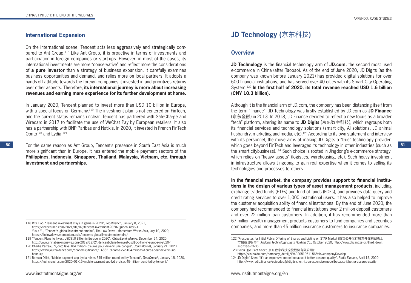# **International Expansion**

On the international scene, Tencent acts less aggressively and strategically compared to Ant Group.118 Like Ant Group, it is proactive in terms of investments and participation in foreign companies or start-ups. However, in most of the cases, its international investments are more "conservative" and reflect more the considerations of **a pure investor** than a strategy of business expansion. It carefully examines business opportunities and demand, and relies more on local partners. It adopts a hands-off attitude towards the foreign companies it invested in and prioritizes returns over other aspects. Therefore, **its international journey is more about increasing revenues and earning more experience for its further development at home.**

In January 2020, Tencent planned to invest more than USD 10 billion in Europe, with a special focus on Germany.<sup>119</sup> The investment plan is not centered on FinTech, and the current status remains unclear. Tencent has partnered with SafeCharge and Wirecard in 2017 to facilitate the use of WeChat Pay by European retailers. It also has a partnership with BNP Paribas and Natixis. In 2020, it invested in French FinTech Oonto<sup>120</sup> and Lydia.<sup>121</sup>

**50 51** which goes beyond FinTech and leverages its technology in other industries (such as For the same reason as Ant Group, Tencent's presence in South East Asia is much more significant than in Europe. It has entered the mobile payment sectors of the **Philippines, Indonesia, Singapore, Thailand, Malaysia, Vietnam, etc. through investment and partnerships.**

# **JD Technology (**京东科技**)**

### **Overview**

**JD Technology** is the financial technology arm of **JD.com,** the second most used e-commerce in China (after Taobao). As of the end of June 2020, JD Digits (as the company was known before January 2021) has provided digital solutions for over 600 financial institutions, and has served over 40 cities with its Smart City Operating System.122 **In the first half of 2020, its total revenue reached USD 1.6 billion (CNY 10.3 billion).**

Although it is the financial arm of JD.com, the company has been distancing itself from the term "finance". JD Technology was firstly established by JD.com as **JD Finance** (京东金融) in 2013. In 2018, JD Finance decided to reflect a new focus as a broader "tech" platform, altering its name to **JD Digits** (京东数字科技), which regroups both its financial services and technology solutions (smart city, AI solutions, JD animal husbandry, marketing and media, etc).<sup>123</sup> According to its own statement and interview with its personnel, the move aims at making JD Digits a "true" technology provider, the smart citybusiness).124 Such choice is rooted in Jingdong's e-commerce strategy, which relies on "heavy assets" (logistics, warehousing, etc). Such heavy investment in infrastructure allows Jingdong to gain real expertise when it comes to selling its technologies and processes to others.

**In the financial market, the company provides support to financial institutions in the design of various types of asset management products,** including exchange-traded funds (ETFs) and fund of funds (FOFs), and provides data query and credit rating services to over 1,000 institutional users. It has also helped to improve the customer acquisition ability of financial institutions. By the end of June 2020, the company had recommended to financial institutions over 2 million deposit customers and over 22 million loan customers. In addition, it has recommended more than 67 million wealth management products customers to fund companies and securities companies, and more than 45 million insurance customers to insurance companies.

<sup>118</sup> Rita Liao, "Tencent investment stays in game in 2020", *TechCrunch*, January 8, 2021, https://techcrunch.com/2021/01/07/tencent-investment-2020/?guccounter=1 Yusuf Yu, "Tencent's global investment empire", The Low Down - Momentum Works Asia, July 10, 2020, https://thelowdown.momentum.asia/tencents-global-investment-empire/

<sup>119 &</sup>quot;Tencent Plans to Invest USD\$10 Billion in Europe in 2020", *ChinaBankingNews*, December 24, 2020, http://www.chinabankingnews.com/2019/12/24/tencent-plans-to-invest-usd10-billion-in-europe-in-2020/

<sup>120</sup> Charlie Perreau, "Qonto lève 104 millions d'euros pour devenir une banque", *Journaldunet*, January 21, 2020, https://www.journaldunet.com/economie/finance/1488219-qonto-leve-104-millions-d-euros-pour-devenir-unebanque/

<sup>121</sup> Romain Dillet, "Mobile payment app Lydia raises \$45 million round led by Tencent", *TechCrunch*, January 15, 2020, https://techcrunch.com/2020/01/15/mobile-payment-app-lydia-raises-45-million-round-led-by-tencent/

<sup>122 &</sup>quot;Prospectus for Initial Public Offering of Shares and Listing on STAR Market (首次公开发行股票并在科创板上 市招股说明书)", *Jindong Technology Digits Holding Co.,* October 2020, http://www.chuangze.cn/third\_down. asp?txtid=2606

<sup>123</sup> Baidu Qiye Fact Sheet (京东数字科技控股股份有限公司):

https://xin.baidu.com/company\_detail\_99492051961156?tab=companyDevelop

<sup>124</sup> JD Digits' Shen: "It's an expensive model because it better assures quality", *Radio Financ*e, April 15, 2020, http://www.radio.finance/episodes/jd-digits-shen:-its-an-expensive-model-because-it-better-assures-quality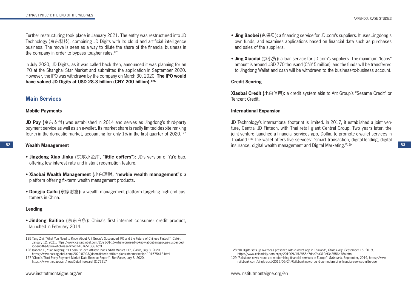Further restructuring took place in January 2021. The entity was restructured into JD Technology (京东科技), combining JD Digits with its cloud and artificial intelligence business. The move is seen as a way to dilute the share of the financial business in the company in order to bypass tougher rules.<sup>125</sup>

In July 2020, JD Digits, as it was called back then, announced it was planning for an IPO at the Shanghai Star Market and submitted the application in September 2020. However, the IPO was withdrawn by the company on March 30, 2020. **The IPO would have valued JD Digits at USD 28.3 billion (CNY 200 billion).126**

# **Main Services**

#### **Mobile Payments**

**JD Pay (**京东支付**)** was established in 2014 and serves as Jingdong's third-party payment service as well as an e-wallet. Its market share is really limited despite ranking fourth in the domestic market, accounting for only 1% in the first quarter of 2020.<sup>127</sup>

#### **Wealth Management**

- **Jingdong Xiao Jinku (**京东小金库**, "little coffers"):** JD's version of Yu'e bao, offering low interest rate and instant redemption feature.
- **Xiaobai Wealth Management (**小白理财**, "newbie wealth management"):** a platform offering fix-term wealth management products.
- **Dongjia Caifu (**东家财富**):** a wealth management platform targeting high-end customers in China.

### **Lending**

• **Jindong Baitiao (**京东白条**):** China's first internet consumer credit product, launched in February 2014.

- **Jing Baobei (**京保贝**):** a financing service for JD.com's suppliers. It uses Jingdong's own funds, and examines applications based on financial data such as purchases and sales of the suppliers.
- **Jing Xiaodai (**京小贷**):** a loan service for JD.com's suppliers. The maximum "loans" amount is around USD 770 thousand (CNY 5 million), and the funds will be transferred to Jingdong Wallet and cash will be withdrawn to the business-to-business account.

### **Credit Scoring**

**Xiaobai Credit (**小白信用**):** a credit system akin to Ant Group's "Sesame Credit" or Tencent Credit.

### **International Expansion**

**52 53** insurance, digital wealth management and Digital Marketing."129 JD Technology's international footprint is limited. In 2017, it established a joint venture, Central JD Fintech, with Thai retail giant Central Group. Two years later, the joint venture launched a financial services app, Dolfin, to promote e-wallet services in Thailand.128 The wallet offers five services: "smart transaction, digital lending, digital

<sup>125</sup> Tang Ziyi, "What You Need to Know About Ant Group's Suspended IPO and the Future of Chinese Fintech", *Caixin*, January 12, 2021, https://www.caixinglobal.com/2021-01-15/what-you-need-to-know-about-ant-groups-suspendedipo-and-the-future-of-chinese-fintech-101651386.html

<sup>126</sup> Isabelle Li, Yuan Ruiyang, "JD.com FinTech Affiliate Plans STAR Market IPO", *Caixin*, July 3, 2020, https://www.caixinglobal.com/2020-07-03/jdcom-fintech-affiliate-plans-star-market-ipo-101575413.html

<sup>127 &</sup>quot;China's Third Party Payment Market Data Release Report", *The Paper*, July 8, 2020, https://www.thepaper.cn/newsDetail\_forward\_8172917

<sup>128 &</sup>quot;JD Digits sets up overseas presence with e-wallet app in Thailand", *China Daily*, September 15, 2019, https://www.chinadaily.com.cn/a/201909/15/WS5d7dce7aa310cf3e3556b78a.html

<sup>129 &</sup>quot;Railsbank news round-up: modernising financial services in Europe", *Railsbank*, September, 2019, https://www. railsbank.com/single-post/2019/09/24/Railsbank-news-round-up-modernising-financial-services-in-Europe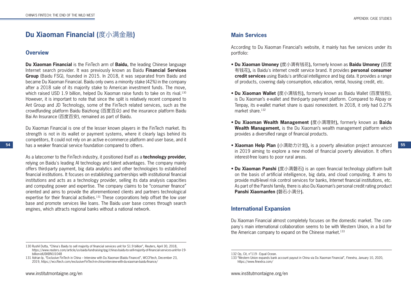# **Du Xiaoman Financial (**度小满金融**)**

# **Overview**

**Du Xiaoman Financial** is the FinTech arm of **Baidu,** the leading Chinese language Internet search provider. It was previously known as Baidu **Financial Services Group** (Baidu FSG), founded in 2015. In 2018, it was separated from Baidu and became Du Xiaoman Financial. Baidu only owns a minority stake (42%) in the company after a 2018 sale of its majority stake to American investment funds. The move, which raised USD 1.9 billion, helped Du Xiaoman raise funds to take on its rival.<sup>130</sup> However, it is important to note that since the split is relatively recent compared to Ant Group and JD Technology, some of the FinTech related services, such as the crowdfunding platform Baidu Baizhong (百度百众) and the insurance platform Baidu Bai An Insurance (百度百安), remained as part of Baidu.

Du Xiaoman Financial is one of the lesser known players in the FinTech market. Its strength is not in its wallet or payment systems, where it clearly lags behind its competitors, It could not rely on an active e-commerce platform and user base, and it has a weaker financial service foundation compared to others.

As a latecomer to the FinTech industry, it positioned itself as a **technology provider,** relying on Baidu's leading AI technology and talent advantages. The company mainly offers third-party payment, big data analytics and other technologies to established financial institutions. It focuses on establishing partnerships with institutional financial institutions and acts as a technology provider, selling its data analysis capacities and computing power and expertise. The company claims to be "consumer finance" oriented and aims to provide the aforementioned clients and partners technological expertise for their financial activities.<sup>131</sup> These corporations help offset the low user base and promote services like loans. The Baidu user base comes through search engines, which attracts regional banks without a national network.

# **Main Services**

According to Du Xiaoman Financial's website, it mainly has five services under its portfolio:

- **Du Xiaoman Umoney (**度小满有钱花**),** formerly known as **Baidu Umoney (**百度 有钱花**),** is Baidu's internet credit service brand. It provides **personal consumer credit services** using Baidu's artificial intelligence and big data. It provides a range of products, covering daily consumption, education, rental, housing credit, etc.
- **Du Xiaoman Wallet (**度小满钱包**),** formerly known as Baidu Wallet (百度钱包), is Du Xiaoman's e-wallet and third-party payment platform. Compared to Alipay or Tenpay, its e-wallet market share is quasi nonexistent. In 2018, it only had 0.27% market share.<sup>132</sup>
- **Du Xiaoman Wealth Management (**度小满理财**),** formerly known as **Baidu Wealth Management,** is the Du Xiaoman's wealth management platform which provides a diversified range of financial products.
- **54 55 Xiaoman Help Plan (**小满助力计划**),** is a poverty alleviation project announced in 2019 aiming to explore a new model of financial poverty alleviation. It offers interest-free loans to poor rural areas.
	- **Du Xiaoman Panshi (**度小满磐石**)** is an open financial technology platform built on the basis of artificial intelligence, big data, and cloud computing. It aims to provide multi-level risk control services for banks, Internet financial institutions, etc. As part of the Panshi family, there is also Du Xiaoman's personal credit rating product **Panshi Xiaomanfen (**磐石小满分**).**

# **International Expansion**

Du Xiaoman Financial almost completely focuses on the domestic market. The company's main international collaboration seems to be with Western Union, in a bid for the American company to expand on the Chinese market.<sup>133</sup>

<sup>130</sup> Rushil Dutta, "China's Baidu to sell majority of financial services unit for \$1.9 billion", *Reuters*, April 30, 2018, https://www.reuters.com/article/us-baidu-fundraising-tpg/chinas-baidu-to-sell-majority-of-financial-services-unit-for-19 billion-idUSKBN1I1048

<sup>131</sup> Adrian Ip, "Exclusive FinTech in China – Interview with Du Xiaoman (Baidu Finance)", *WCCFtech*, December 23, 2019, https://wccftech.com/exclusive-FinTech-in-china-interview-with-du-xiaoman-baidu-finance/

<sup>132</sup> Op, Cit, n°119 - Equal Ocean.

<sup>133 &</sup>quot;Western Union expands bank account payout in China via Du Xiaoman Financial", *Finextra*, January 10, 2020, https://www.finextra.com/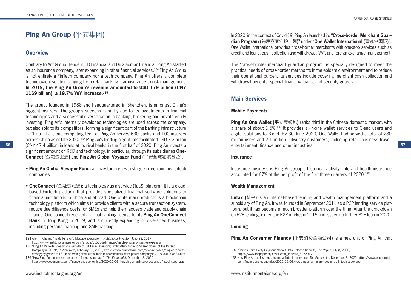# **Ping An Group (**平安集团**)**

# **Overview**

Contrary to Ant Group, Tencent, JD Financial and Du Xiaoman Financial, Ping An started as an insurance company, later expanding in other financial services.134 Ping An Group is not entirely a FinTech company nor a tech company. Ping An offers a complete technological solution ranging from retail banking, car insurance to risk management. **In 2019, the Ping An Group's revenue amounted to USD 179 billion (CNY 1169 billion), a 19.7% YoY increase.135**

**56 57** (CNY 47.4 billion) in loans at its rival banks in the first half of 2020. Ping An invests a The group, founded in 1988 and headquartered in Shenzhen, is amongst China's biggest insurers. The group's success is partly due to its investments in financial technologies and a successful diversification in banking, brokering and private equity investing. Ping An's internally developed technologies are used across the company, but also sold to its competitors, forming a significant part of the banking infrastructure in China. The cloud-computing tech of Ping An serves 630 banks and 100 insurers across China as of late 2020.136 Ping An's lending algorithms facilitated USD 7.3 billion significant amount on R&D and technology, in particular, through its subsidiaries **One-Connect (**金融壹账通**)** and **Ping An Global Voyager Fund (**平安全球领航基金**).**

- **Ping An Global Voyager Fund:** an investor in growth-stage FinTech and healthtech companies.
- **OneConnect (**金融壹账通**):** a technology-as-a-service (TaaS) platform. It is a cloudbased FinTech platform that provides specialized financial software solutions to financial institutions in China and abroad. One of its main products is a blockchain technology platform which aims to provide clients with a secure transaction system, reduce due diligence costs for SMEs and help them access trade and supply chain finance. OneConnect received a virtual banking license for its **Ping An OneConnect Bank** in Hong Kong in 2019, and is currently expanding its diversified business, including personal banking and SME banking.

Company in 2019", *PRNewswire*, February 20, 2020, https://www.prnewswire.com/news-releases/ping-an-reportssteady-yoy-growth-of-18-1-in-operating-profit-attributable-to-shareholders-of-the-parent-company-in-2019--301008431.html 136 "How Ping An, an insurer, became a fintech super-app", *The Economist*, December 3, 2020,

https://www.economist.com/finance-and-economics/2020/12/03/how-ping-an-an-insurer-became-a-fintech-super-app

In 2020, in the context of Covid-19, Ping An launched its **"Cross-border Merchant Guardian Program (**跨境商家守护计划**)"** under **"One Wallet International (**壹钱包国际**)".** One Wallet International provides cross-border merchants with one-stop services such as credit and loans, cash collection and withdrawal, VAT, and foreign exchange management.

The "cross-border merchant guardian program" is specially designed to meet the practical needs of cross-border merchants in the epidemic environment and to reduce their operational burden. Its services include covering merchant cash collection and withdrawal benefits, special financing loans, and security guards.

# **Main Services**

### **Mobile Payments**

**Ping An One Wallet (**平安壹钱包**)** ranks third in the Chinese domestic market, with a share of about 1.5%.137 It provides all-in-one wallet services to C-end users and digital solutions to B-end. By 30 June 2020, One Wallet had served a total of 280 million users and 2.1 million indwustry customers, including retail, business travel, entertainment, finance and other industries.

#### **Insurance**

Insurance business is Ping An group's historical activity. Life and health insurance accounted for 67% of the net profit of the first three quarters of 2020.<sup>138</sup>

#### **Wealth Management**

**Lufax** (陆金) is an Internet-based lending and wealth management platform and a subsidiary of Ping An. It was founded in September 2011 as a P2P lending service platform, but it has become a much broader platform over the time. After the crackdown on P2P lending, exited the P2P market in 2019 and issued no further P2P loan in 2020.

### **Lending**

**Ping An Consumer Finance (**平安消费金融公司**)** is a new unit of Ping An that

<sup>134</sup> Allen T. Cheng, "Inside Ping An's Massive Expansion", *Institutional Investor*, June 28, 2017,

https://www.institutionalinvestor.com/article/b1505qrd4nmvpx/inside-ping-ans-massive-expansion 135 "Ping An Reports Steady YoY Growth of 18.1% in Operating Profit Attributable to Shareholders of the Parent

<sup>137 &</sup>quot;China's Third Party Payment Market Data Release Report", *The Paper*, July 8, 2020,

https://www.thepaper.cn/newsDetail\_forward\_8172917

<sup>138</sup> How Ping An, an insurer, became a fintech super-app, *The Economist*, December 3, 2020, https://www.economist. com/finance-and-economics/2020/12/03/how-ping-an-an-insurer-became-a-fintech-super-app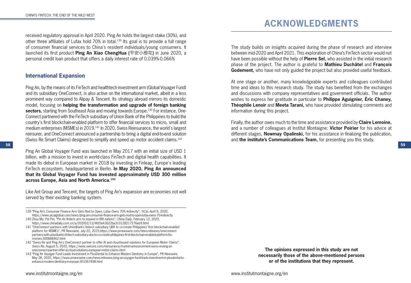received regulatory approval in April 2020. Ping An holds the largest stake (30%), and other three affiliates of Lufax hold 70% in total.139 Its goal is to provide a full range of consumer financial services to China's resident individuals/young consumers. It launched its first product **Ping An Xiao ChengHua (**平安小橙花**)** in June 2020, a personal credit loan product that offers a daily interest rate of 0.039%-0.066%

# **International Expansion**

Ping An, by the means of its FinTech and healthtech investment arm (Global Voyager Fund) and its subsidiary OneConnect, is also active on the international market, albeit in a less prominent way compared to Alipay & Tencent. Its strategy abroad mirrors its domestic model, focusing on **helping the transformation and upgrade of foreign banking sectors,** starting from Southeast Asia and moving towards Europe.<sup>140</sup> For instance, One-Connect partnered with the FinTech subsidiary of Union Bank of the Philippines to build the country's first blockchain-enabled platform to offer financial services to micro, small and medium enterprises (MSMEs) in 2019.141 In 2020, Swiss Reinsurance, the world's largest reinsurer, and OneConnect announced a partnership to bring a digital end-to-end solution (Swiss Re Smart Claims) designed to simplify and speed up motor accident claims.142

Ping An Global Voyager Fund was launched in May 2017 with an initial size of USD 1 billion, with a mission to invest in world-class FinTech and digital health capabilities. It made its debut in European market in 2018 by investing in Finleap, Europe's leading FinTech ecosystem, headquartered in Berlin. **In May 2020, Ping An announced that its Global Voyager Fund has invested approximately USD 300 million across Europe, Asia and North America.143**

Like Ant Group and Tencent, the targets of Ping An's expansion are economies not well served by their existing banking system.

- 139 "Ping An's Consumer Finance Arm Gets Nod to Open; Lufax Owns 70% Indirectly", *YiCai*, April 9, 2020, https://www.yicaiglobal.com/news/ping-an-consumer-finance-arm-gets-nod-to-open-lufax-owns-70-indirectly
- 140 Zhou Mo, Pei Pei, "Pin An fintech arm to expand in BRI nations", *China Daily*, February 12, 2020, https://www.chinadaily.com.cn/a/202002/12/WS5e43622ba310128217276eb9.html
- 141 "OneConnect partners with UnionBank's fintech subsidiary UBX to co-create Philippines' first blockchain-enabled platform for MSMEs", *PR Newswire*, July 22, 2019,https://www.prnewswire.com/news-releases/oneconnectpartners-with-unionbanks-fintech-subsidiary-ubx-to-co-create-philippines-first-blockchain-enabled-platform-formsmes-300888462.html
- 142 "Swiss Re and Ping An's OneConnect partner to offer AI and cloud-based solutions for European Motor Claims", *Swiss Re*, August 5, 2020, https://www.swissre.com/reinsurance/market-announcement-swiss-re-ping-anoneconnect-partner-offer-ai-cloud-solutions-european-motor-claims.html
- 143 "Ping An Voyager Fund Leads Investment in PlusDental to Enhance Modern Dentistry in Europe", *PR Newswire*, May 28, 2020, https://www.prnewswire.com/news-releases/ping-an-voyager-fund-leads-investment-in-plusdental-toenhance-modern-dentistry-in-europe-301067498.html

# **ACKNOWLEDGMENTS**

The study builds on insights acquired during the phase of research and interview between mid-2020 and April 2021. This exploration of China's FinTech sector would not have been possible without the help of **Pierre Sel,** who assisted in the initial research phase of the project. The author is grateful to **Mathieu Duchâtel** and **François Godement,** who have not only guided the project but also provided useful feedback.

At one stage or another, many knowledgeable experts and colleagues contributed time and ideas to this research study. The study has benefited from the exchanges and discussions with company representatives and government officials. The author wishes to express her gratitude in particular to **Philippe Aguignier, Éric Chaney, Théophile Lenoir** and **Meeta Tarani,** who have provided stimulating comments and information during this project.

Finally, the author owes much to the time and assistance provided by **Claire Lemoine,**  and a number of colleagues at Institut Montaigne: **Victor Poirier** for his advice at different stages, **Nowmay Opalinski,** for his assistance in finalizing the publication, and **the institute's Communications Team,** for presenting you this study.

> **The opinions expressed in this study are not necessarily those of the above-mentioned persons or of the institutions that they represent.**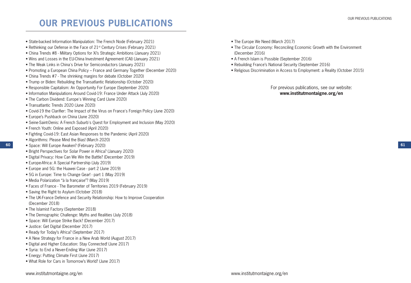**61**

# **OUR PREVIOUS PUBLICATIONS**

- State-backed Information Manipulation: The French Node (February 2021)
- Rethinking our Defense in the Face of 21<sup>st</sup> Century Crises (February 2021)
- China Trends #8 Military Options for Xi's Strategic Ambitions (January 2021)
- Wins and Losses in the EU-China Investment Agreement (CAI) (January 2021)
- The Weak Links in China's Drive for Semiconductors (January 2021)
- Promoting a European China Policy France and Germany Together (December 2020)
- China Trends #7 The shrinking margins for debate (October 2020)
- Trump or Biden: Rebuilding the Transatlantic Relationship (October 2020)
- Responsible Capitalism: An Opportunity For Europe (September 2020)
- Information Manipulations Around Covid-19: France Under Attack (July 2020)
- The Carbon Dividend: Europe's Winning Card (June 2020)
- Transatlantic Trends 2020 (June 2020)
- Covid-19 the Clarifier: The Impact of the Virus on France's Foreign Policy (June 2020)
- Europe's Pushback on China (June 2020)
- Seine-Saint-Denis: A French Suburb's Quest for Employment and Inclusion (May 2020)
- French Youth: Online and Exposed (April 2020)
- Fighting Covid-19: East Asian Responses to the Pandemic (April 2020)
- Algorithms: Please Mind the Bias! (March 2020)
- Space: Will Europe Awaken? (February 2020)
- Bright Perspectives for Solar Power in Africa? (January 2020)
- Digital Privacy: How Can We Win the Battle? (December 2019)
- Europe-Africa: A Special Partnership (July 2019)
- Europe and 5G: the Huawei Case part 2 (June 2019)
- 5G in Europe: Time to Change Gear! part 1 (May 2019)
- Media Polarization "à la française"? (May 2019)
- Faces of France The Barometer of Territories 2019 (February 2019)
- Saving the Right to Asylum (October 2018)
- The UK-France Defence and Security Relationship: How to Improve Cooperation (December 2018)
- The Islamist Factory (September 2018)
- The Demographic Challenge: Myths and Realities (July 2018)
- Space: Will Europe Strike Back? (December 2017)
- Justice: Get Digital (December 2017)
- Ready for Today's Africa? (September 2017)
- A New Strategy for France in a New Arab World (August 2017)
- Digital and Higher Education: Stay Connected! (June 2017)
- Syria: to End a Never-Ending War (June 2017)
- Energy: Putting Climate First (June 2017)
- What Role for Cars in Tomorrow's World? (June 2017)
- The Europe We Need (March 2017)
	- The Circular Economy: Reconciling Economic Growth with the Environment (December 2016)
	- A French Islam is Possible (September 2016)
	- Rebuilding France's National Security (September 2016)
	- Religious Discrimination in Access to Employment: a Reality (October 2015)

For previous publications, see our website: **www.institutmontaigne.org/en**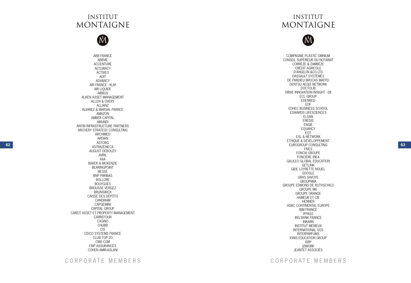# **INSTITUT MONTAIGNE**

M

**62 63** ABB FRANCE ABBVIE ACCENTURE ACCURACY ACTIVEO ADIT ADVANCY AIR FRANCE - KLM AIR LIQUIDE AIRBUS ALKEN ASSET MANAGEMENT ALLEN & OVERY ALLIANZ ALVAREZ & MARSAL FRANCE AMAZON AMBER CAPITAL AMUNDI ANTIN INFRASTRUCTURE PARTNERS ARCHERY STRATEGY CONSULTING ARCHIMED ARDIAN ASTORG ASTRAZENECA AUGUST DEBOUZY AVRIL AXA BAKER & MCKENZIE BEARINGPOINT BESSÉ BNP PARIBAS BOLLORÉ BOUYGUES BROUSSE VERGEZ BRUNSWICK CAISSE DES DÉPÔTS CANDRIAM CAPGEMINI CAPITAL GROUP CAREIT ASSET ET PROPERTY MANAGEMENT CARREFOUR CASINO CHUBB CIS CISCO SYSTEMS FRANCE CLUB TOP 20 CMA CGM CNP ASSURANCES COHEN AMIR-ASLANI

# **INSTITUT MONTAIGNE**

# M

COMPAGNIE PLASTIC OMNIUM CONSEIL SUPÉRIEUR DU NOTARIAT CORRÈZE & ZAMBÈZE CRÉDIT AGRICOLE D'ANGELIN &CO.LTD DASSAULT SYSTÈMES DE PARDIEU BROCAS MAFFEI DENTSU AEGIS NETWORK DOCTOLIB DRIVE INNOVATION INSIGHT - DII ECL GROUP EDENRED EDF EDHEC BUSINESS SCHOOL EDWARDS LIFESCIENCES ELSAN ENEDIS ENGIE EQUANCY EQT ESL & NETWORK ETHIQUE & DÉVELOPPEMENT EUROGROUP CONSULTING FIVES FONCIA GROUPE FONCIÈRE INEA GALILEO GLOBAL EDUCATION GETLINK GIDE LOYRETTE NOUEL GOOGLE GRAS SAVOYE GROUPAMA GROUPE EDMOND DE ROTHSCHILD GROUPE M6 GROUPE ORANGE HAMEUR ET CIE HENNER HSBC CONTINENTAL EUROPE IBM FRANCE IFPASS ING BANK FRANCE INKARN INSTITUT MÉRIEUX INTERNATIONAL SOS INTERPARFUMS IONIS EDUCATION GROUP ISRP IZIWORK JEANTET ASSOCIÉS

CORPORATE MEMBERS CORPORATE MEMBERS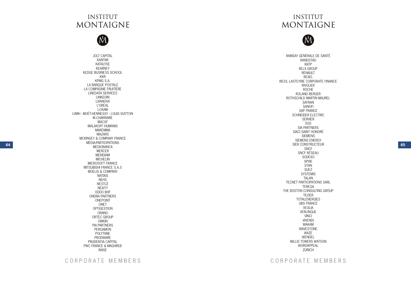# **INSTITUT MONTAIGNE**

M

JOLT CAPITAL KANTAR KATALYSE KEARNEY KEDGE BUSINESS SCHOOL KKR KPMG S.A. LA BANQUE POSTALE LA COMPAGNIE FRUITIÈRE LINEDATA SERVICES LINKEDIN LIVANOVA L'ORÉAL LOXAM LVMH - MOËT-HENNESSY - LOUIS VUITTON M.CHARRAIRE MACSF MALAKOFF HUMANIS MAREMMA MAZARS MCKINSEY & COMPANY FRANCE MÉDIA-PARTICIPATIONS MEDIOBANCA MERCER MERIDIAM MICHELIN MICROSOFT FRANCE MITSUBISHI FRANCE S.A.S MOELIS & COMPANY NATIXIS NEHS NESTLÉ NEXITY ODDO BHF ONDRA PARTNERS ONEPOINT ONET OPTIGESTION ORANO ORTEC GROUP OWKIN PAI PARTNERS PERGAMON POLYTANE PRODWARE PRUDENTIA CAPITAL PWC FRANCE & MAGHREB RAISE

# **INSTITUT MONTAIGNE**

# M

**64 EXECONSTRUCTEUR 65 CONSTRUCTEUR 65** RAMSAY GÉNÉRALE DE SANTÉ RANDSTAD RATP RELX GROUP RENAULT REXEL RICOL LASTEYRIE CORPORATE FINANCE RIVOLIER ROCHE ROLAND BERGER ROTHSCHILD MARTIN MAUREL SAFRAN SANOFI SAP FRANCE SCHNEIDER ELECTRIC SERVIER SGS SIA PARTNERS SIACI SAINT HONORÉ SIEMENS SIEMENS ENERGY SIER CONSTRUCTEUR SNCF SNCF RÉSEAU SODEXO SPVIE STAN SUEZ **SYSTEMIS** TALAN TECNET PARTICIPATIONS SARL TEREGA THE BOSTON CONSULTING GROUP TILDER TOTALENERGIES UBS FRANCE VEOLIA VERLINGUE VINCI VIVENDI WAKAM WAVESTONE WAZE WENDEL WILLIS TOWERS WATSON WORDAPPEAL ZURICH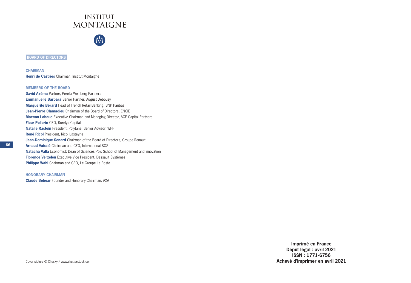

**NA** 

**BOARD OF DIRECTORS**

**CHAIRMAN Henri de Castries** Chairman, Institut Montaigne

#### **MEMBERS OF THE BOARD**

**David Azéma** Partner, Perella Weinberg Partners **Emmanuelle Barbara** Senior Partner, August Debouzy **Marguerite Bérard** Head of French Retail Banking, BNP Paribas **Jean-Pierre Clamadieu** Chairman of the Board of Directors, ENGIE **Marwan Lahoud** Executive Chairman and Managing Director, ACE Capital Partners **Fleur Pellerin** CEO, Korelya Capital **Natalie Rastoin** President, Polytane; Senior Advisor, WPP **René Ricol** President, Ricol Lasteyrie **Jean-Dominique Senard** Chairman of the Board of Directors, Groupe Renault **Arnaud Vaissié** Chairman and CEO, International SOS **Natacha Valla** Economist; Dean of Sciences Po's School of Management and Innovation **Florence Verzelen** Executive Vice President, Dassault Systèmes **Philippe Wahl** Chairman and CEO, Le Groupe La Poste

#### **HONORARY CHAIRMAN**

**Claude Bébéar** Founder and Honorary Chairman, AXA

**Imprimé en France Dépôt légal : avril 2021 ISSN : 1771-6756 Achevé d'imprimer en avril 2021**

Cover picture © Chesky / www.shutterstock.com